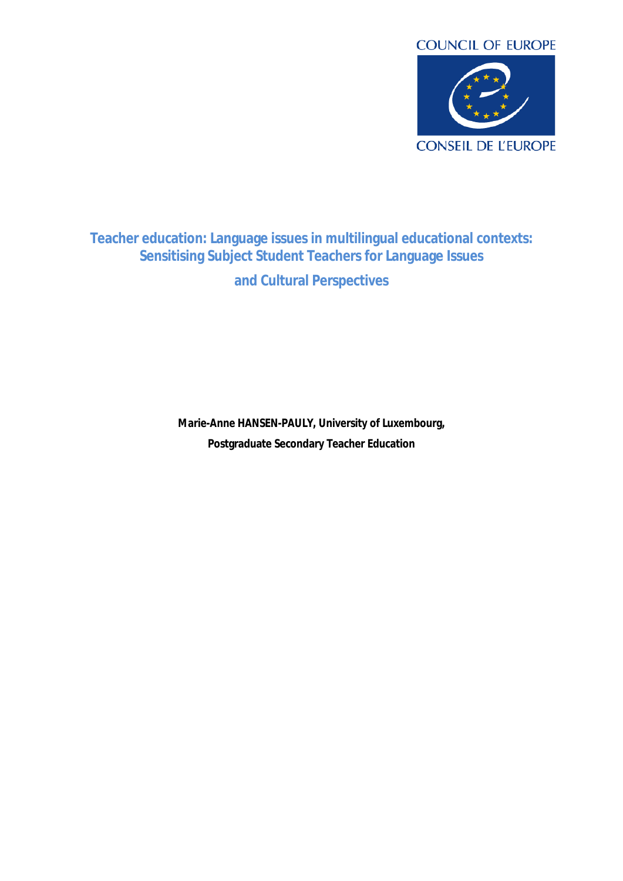

# **Teacher education: Language issues in multilingual educational contexts: Sensitising Subject Student Teachers for Language Issues and Cultural Perspectives**

**Marie-Anne HANSEN-PAULY, University of Luxembourg, Postgraduate Secondary Teacher Education**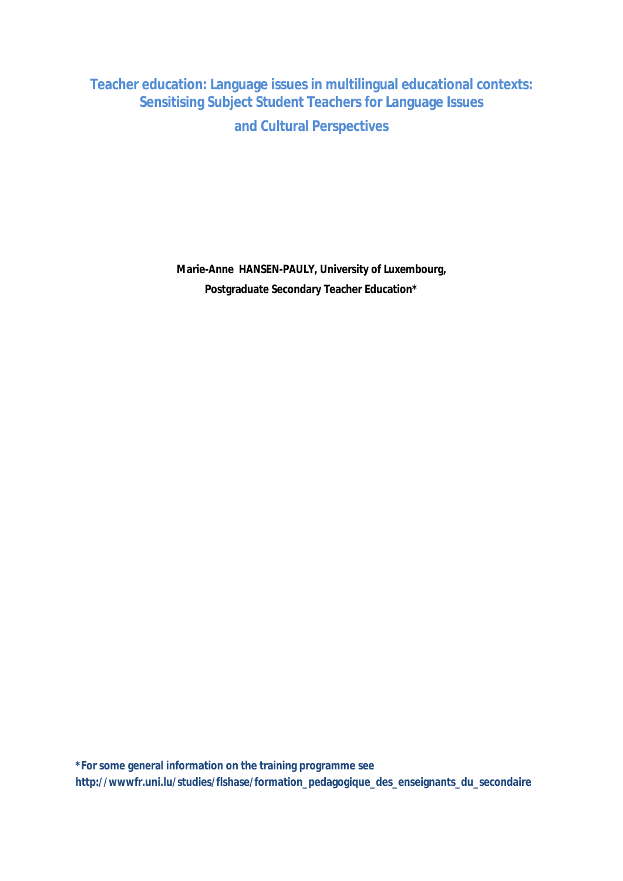**Teacher education: Language issues in multilingual educational contexts: Sensitising Subject Student Teachers for Language Issues and Cultural Perspectives**

> **Marie-Anne HANSEN-PAULY, University of Luxembourg, Postgraduate Secondary Teacher Education\***

**\*For some general information on the training programme see http://wwwfr.uni.lu/studies/flshase/formation\_pedagogique\_des\_enseignants\_du\_secondaire**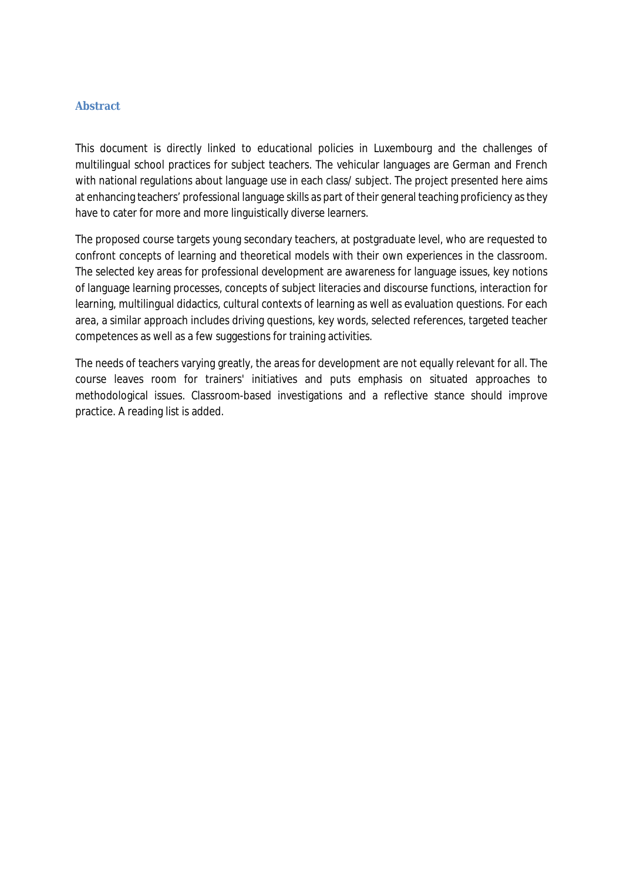#### <span id="page-4-0"></span>**Abstract**

This document is directly linked to educational policies in Luxembourg and the challenges of multilingual school practices for subject teachers. The vehicular languages are German and French with national regulations about language use in each class/ subject. The project presented here aims at enhancing teachers' professional language skills as part of their general teaching proficiency asthey have to cater for more and more linguistically diverse learners.

The proposed course targets young secondary teachers, at postgraduate level, who are requested to confront concepts of learning and theoretical models with their own experiences in the classroom. The selected key areas for professional development are awareness for language issues, key notions of language learning processes, concepts of subject literacies and discourse functions, interaction for learning, multilingual didactics, cultural contexts of learning as well as evaluation questions. For each area, a similar approach includes driving questions, key words, selected references, targeted teacher competences as well as a few suggestions for training activities.

The needs of teachers varying greatly, the areas for development are not equally relevant for all. The course leaves room for trainers' initiatives and puts emphasis on situated approaches to methodological issues. Classroom-based investigations and a reflective stance should improve practice. A reading list is added.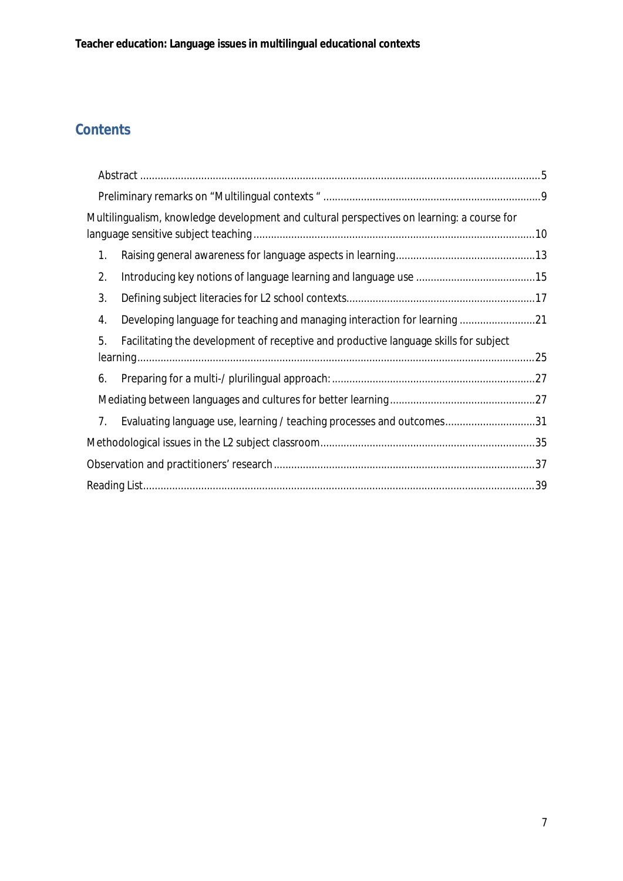# **Contents**

| Multilingualism, knowledge development and cultural perspectives on learning: a course for |  |
|--------------------------------------------------------------------------------------------|--|
| 1.                                                                                         |  |
| 2.                                                                                         |  |
| 3.                                                                                         |  |
| Developing language for teaching and managing interaction for learning 21<br>4.            |  |
| Facilitating the development of receptive and productive language skills for subject<br>5. |  |
| 6.                                                                                         |  |
|                                                                                            |  |
| Evaluating language use, learning / teaching processes and outcomes31<br>7.                |  |
|                                                                                            |  |
|                                                                                            |  |
|                                                                                            |  |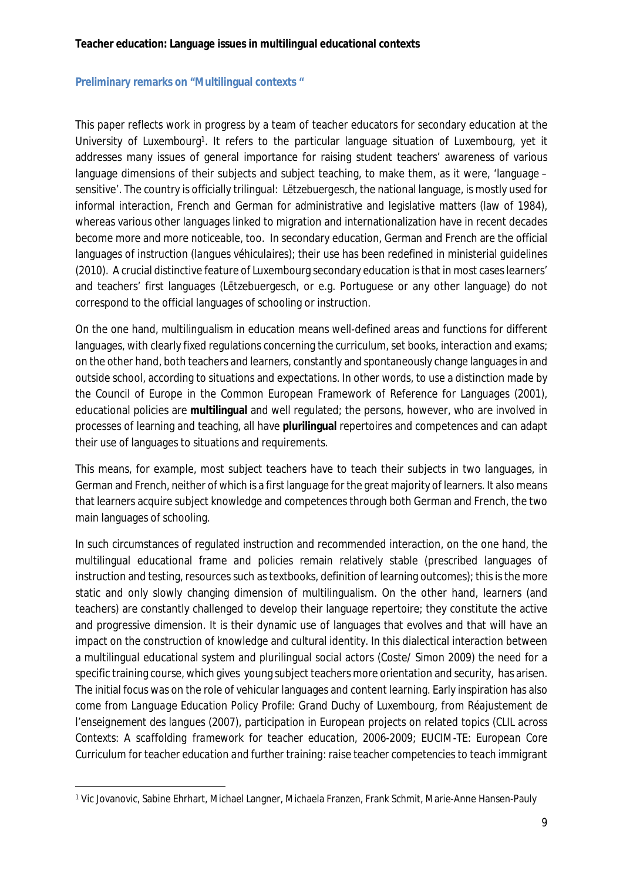#### <span id="page-8-0"></span>**Preliminary remarks on "Multilingual contexts "**

This paper reflects work in progress by a team of teacher educators for secondary education at the University of Luxembourg<sup>1</sup>. It refers to the particular language situation of Luxembourg, yet it addresses many issues of general importance for raising student teachers' awareness of various language dimensions of their subjects and subject teaching, to make them, as it were, 'language – sensitive'. The country is officially trilingual: *Lëtzebuergesch*, the national language, is mostly used for informal interaction, French and German for administrative and legislative matters (law of 1984), whereas various other languages linked to migration and internationalization have in recent decades become more and more noticeable, too. In secondary education, German and French are the official languages of instruction (*langues véhiculaires*); their use has been redefined in ministerial guidelines (2010). A crucial distinctive feature of Luxembourg secondary education isthat in most caseslearners' and teachers' first languages (Lëtzebuergesch, or e.g. Portuguese or any other language) do not correspond to the official languages of schooling or instruction.

On the one hand, multilingualism in education means well-defined areas and functions for different languages, with clearly fixed regulations concerning the curriculum, set books, interaction and exams; on the other hand, both teachers and learners, constantly and spontaneously change languagesin and outside school, according to situations and expectations. In other words, to use a distinction made by the Council of Europe in the Common European Framework of Reference for Languages (2001), educational policies are **multilingual** and well regulated; the persons, however, who are involved in processes of learning and teaching, all have **plurilingual** repertoires and competences and can adapt their use of languages to situations and requirements.

This means, for example, most subject teachers have to teach their subjects in two languages, in German and French, neither of which is a first language for the great majority of learners. It also means that learners acquire subject knowledge and competences through both German and French, the two main languages of schooling.

In such circumstances of regulated instruction and recommended interaction, on the one hand, the multilingual educational frame and policies remain relatively stable (prescribed languages of instruction and testing, resources such as textbooks, definition of learning outcomes); this is the more static and only slowly changing dimension of multilingualism. On the other hand, learners (and teachers) are constantly challenged to develop their language repertoire; they constitute the active and progressive dimension. It is their dynamic use of languages that evolves and that will have an impact on the construction of knowledge and cultural identity. In this dialectical interaction between a multilingual educational system and plurilingual social actors (Coste/ Simon 2009) the need for a specific training course, which gives young subject teachers more orientation and security, has arisen. The initial focus was on the role of vehicular languages and content learning. Early inspiration has also come from *Language Education Policy Profile: Grand Duchy of Luxembourg,* from *Réajustement de l'enseignement des langues* (2007), participation in European projects on related topics (*CLIL across Contexts: A scaffolding framework for teacher education*, 2006-2009; EUCIM-TE: *European Core Curriculum for teacher education and further training: raise teacher competencies to teach immigrant*

<sup>1</sup> Vic Jovanovic, Sabine Ehrhart, Michael Langner, Michaela Franzen, Frank Schmit, Marie-Anne Hansen-Pauly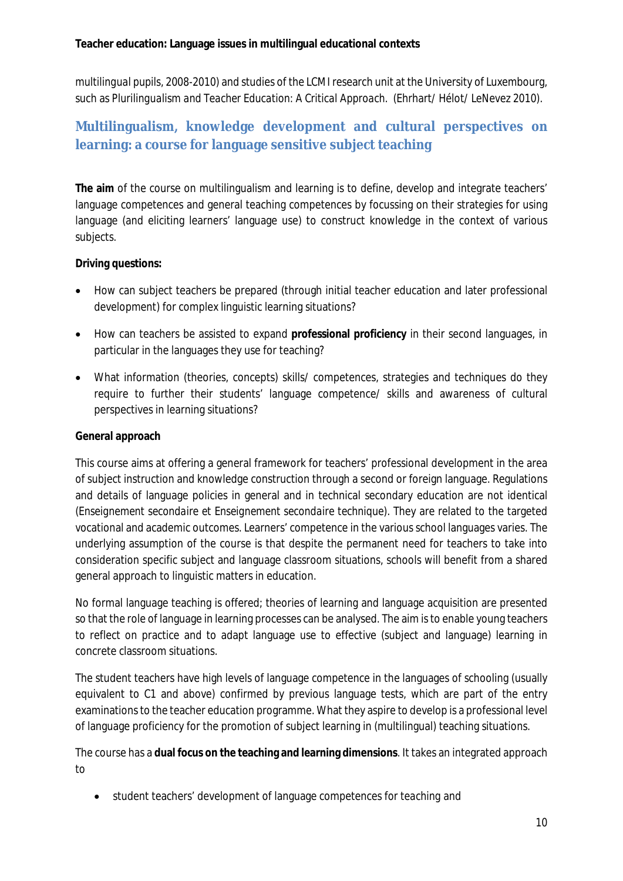*multilingual pupils*, 2008-2010) and studies of the LCMI research unit at the University of Luxembourg, such as *Plurilingualism and Teacher Education: A Critical Approach*. (Ehrhart/ Hélot/ LeNevez 2010).

# <span id="page-9-0"></span>**Multilingualism, knowledge development and cultural perspectives on learning: a course for language sensitive subject teaching**

**The aim** of the course on multilingualism and learning is to define, develop and integrate teachers' language competences and general teaching competences by focussing on their strategies for using language (and eliciting learners' language use) to construct knowledge in the context of various subjects.

**Driving questions:**

- How can subject teachers be prepared (through initial teacher education and later professional development) for complex linguistic learning situations?
- How can teachers be assisted to expand **professional proficiency** in their second languages, in particular in the languages they use for teaching?
- What information (theories, concepts) skills/ competences, strategies and techniques do they require to further their students' language competence/ skills and awareness of cultural perspectives in learning situations?

## **General approach**

This course aims at offering a general framework for teachers' professional development in the area of subject instruction and knowledge construction through a second or foreign language. Regulations and details of language policies in general and in technical secondary education are not identical (*Enseignement secondaire et Enseignement secondaire technique*). They are related to the targeted vocational and academic outcomes. Learners' competence in the various school languages varies. The underlying assumption of the course is that despite the permanent need for teachers to take into consideration specific subject and language classroom situations, schools will benefit from a shared general approach to linguistic matters in education.

No formal language teaching is offered; theories of learning and language acquisition are presented so that the role of language in learning processes can be analysed. The aim isto enable young teachers to reflect on practice and to adapt language use to effective (subject and language) learning in concrete classroom situations.

The student teachers have high levels of language competence in the languages of schooling (usually equivalent to C1 and above) confirmed by previous language tests, which are part of the entry examinations to the teacher education programme. What they aspire to develop is a professional level of language proficiency for the promotion of subject learning in (multilingual) teaching situations.

The course has a **dual focus on the teaching and learning dimensions**. It takes an integrated approach to

student teachers' development of language competences *for teaching* and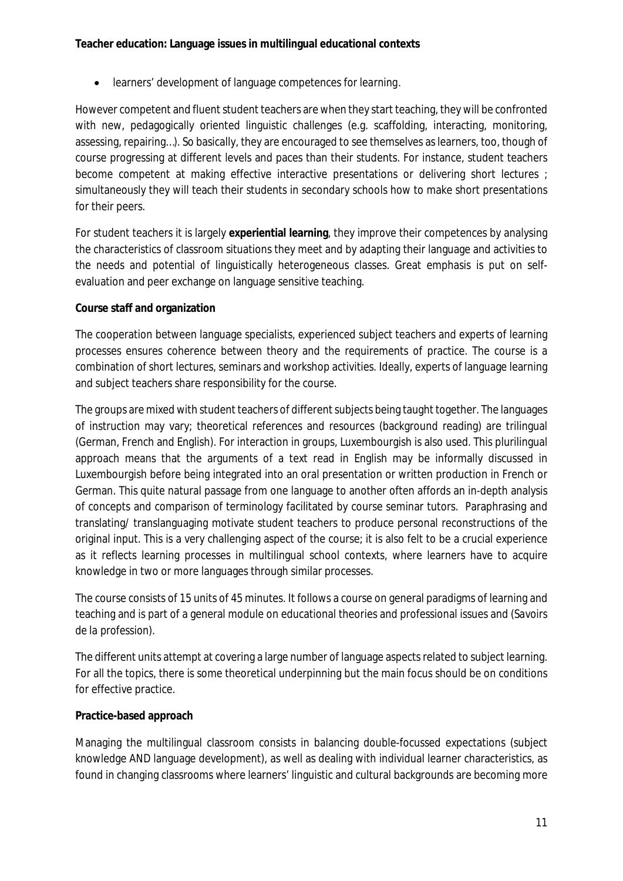learners' development of language competences *for learning*.

However competent and fluent student teachers are when they start teaching, they will be confronted with new, pedagogically oriented linguistic challenges (e.g. scaffolding, interacting, monitoring, assessing, repairing…). So basically, they are encouraged to see themselves as learners, too, though of course progressing at different levels and paces than their students. For instance, student teachers become competent at making effective interactive presentations or delivering short lectures ; simultaneously they will teach their students in secondary schools how to make short presentations for their peers.

For student teachers it is largely **experiential learning**, they improve their competences by analysing the characteristics of classroom situations they meet and by adapting their language and activities to the needs and potential of linguistically heterogeneous classes. Great emphasis is put on selfevaluation and peer exchange on language sensitive teaching.

## **Course staff and organization**

The cooperation between language specialists, experienced subject teachers and experts of learning processes ensures coherence between theory and the requirements of practice. The course is a combination of short lectures, seminars and workshop activities. Ideally, experts of language learning and subject teachers share responsibility for the course.

The groups are mixed with student teachers of different subjects being taught together. The languages of instruction may vary; theoretical references and resources (background reading) are trilingual (German, French and English). For interaction in groups, Luxembourgish is also used. This plurilingual approach means that the arguments of a text read in English may be informally discussed in Luxembourgish before being integrated into an oral presentation or written production in French or German. This quite natural passage from one language to another often affords an in-depth analysis of concepts and comparison of terminology facilitated by course seminar tutors. Paraphrasing and translating/ translanguaging motivate student teachers to produce personal reconstructions of the original input. This is a very challenging aspect of the course; it is also felt to be a crucial experience as it reflects learning processes in multilingual school contexts, where learners have to acquire knowledge in two or more languages through similar processes.

The course consists of 15 units of 45 minutes. It follows a course on general paradigms of learning and teaching and is part of a general module on educational theories and professional issues and (*Savoirs de la profession*).

The different units attempt at covering a large number of language aspectsrelated to subject learning. For all the topics, there is some theoretical underpinning but the main focus should be on conditions for effective practice.

### **Practice-based approach**

Managing the multilingual classroom consists in balancing double-focussed expectations (subject knowledge AND language development), as well as dealing with individual learner characteristics, as found in changing classrooms where learners' linguistic and cultural backgrounds are becoming more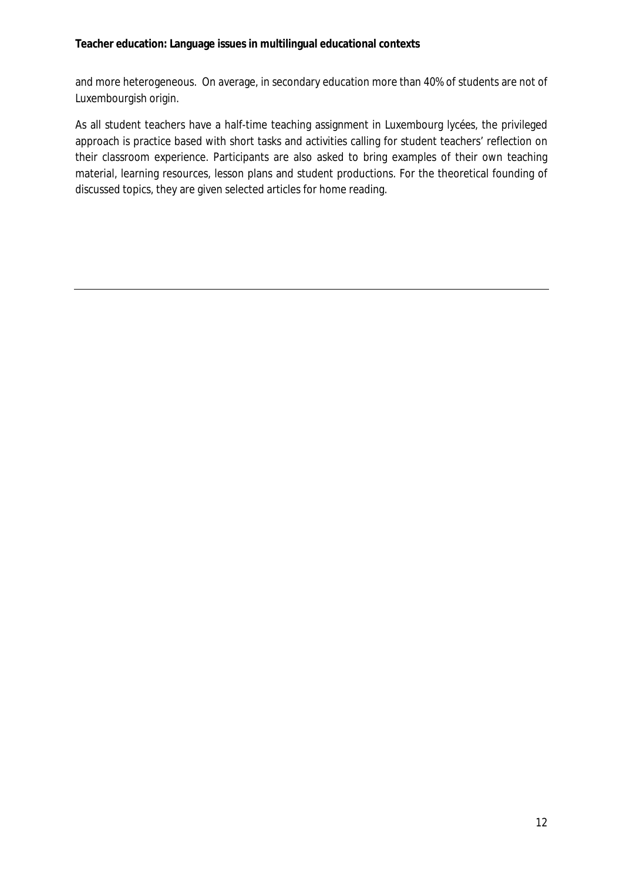and more heterogeneous. On average, in secondary education more than 40% of students are not of Luxembourgish origin.

As all student teachers have a half-time teaching assignment in Luxembourg *lycées*, the privileged approach is practice based with short tasks and activities calling for student teachers' reflection on their classroom experience. Participants are also asked to bring examples of their own teaching material, learning resources, lesson plans and student productions. For the theoretical founding of discussed topics, they are given selected articles for home reading.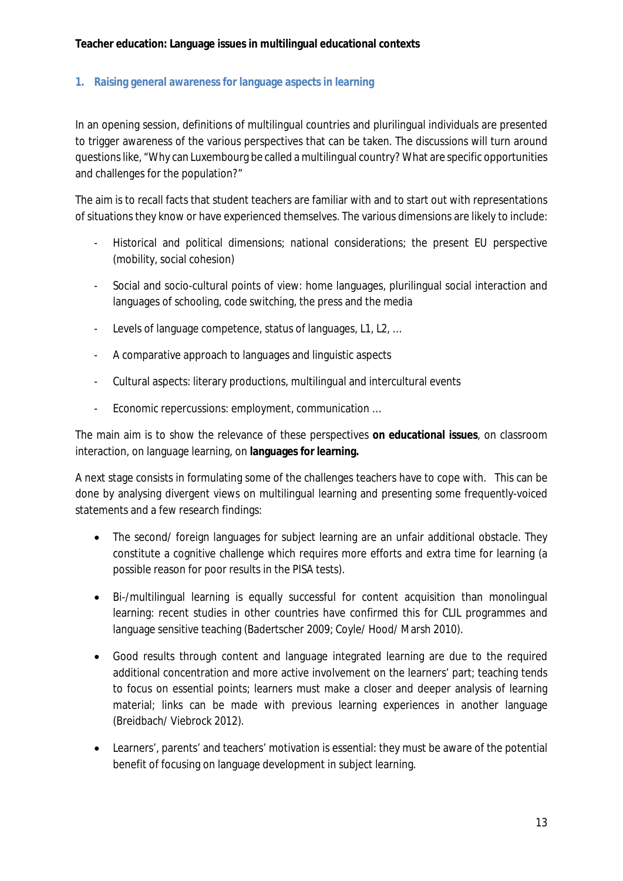## <span id="page-12-0"></span>**1. Raising general awareness for language aspects in learning**

In an opening session, definitions of multilingual countries and plurilingual individuals are presented to trigger awareness of the various perspectives that can be taken. The discussions will turn around questionslike, "Why can Luxembourg be called a multilingual country? What are specific opportunities and challenges for the population?"

The aim is to recall facts that student teachers are familiar with and to start out with representations of situations they know or have experienced themselves. The various dimensions are likely to include:

- Historical and political dimensions; national considerations; the present EU perspective (mobility, social cohesion)
- Social and socio-cultural points of view: home languages, plurilingual social interaction and languages of schooling, code switching, the press and the media
- Levels of language competence, status of languages, L1, L2, ...
- A comparative approach to languages and linguistic aspects
- Cultural aspects: literary productions, multilingual and intercultural events
- Economic repercussions: employment, communication …

The main aim is to show the relevance of these perspectives **on educational issues**, on classroom interaction, on language learning, on **languages for learning.**

A next stage consists in formulating some of the challenges teachers have to cope with. This can be done by analysing divergent views on multilingual learning and presenting some frequently-voiced statements and a few research findings:

- The second/ foreign languages for subject learning are an unfair additional obstacle. They constitute a cognitive challenge which requires more efforts and extra time for learning (a possible reason for poor results in the PISA tests).
- Bi-/multilingual learning is equally successful for content acquisition than monolingual learning: recent studies in other countries have confirmed this for CLIL programmes and language sensitive teaching (Badertscher 2009; Coyle/ Hood/ Marsh 2010).
- Good results through content and language integrated learning are due to the required additional concentration and more active involvement on the learners' part; teaching tends to focus on essential points; learners must make a closer and deeper analysis of learning material; links can be made with previous learning experiences in another language (Breidbach/ Viebrock 2012).
- Learners', parents' and teachers' motivation is essential: they must be aware of the potential benefit of focusing on language development in subject learning.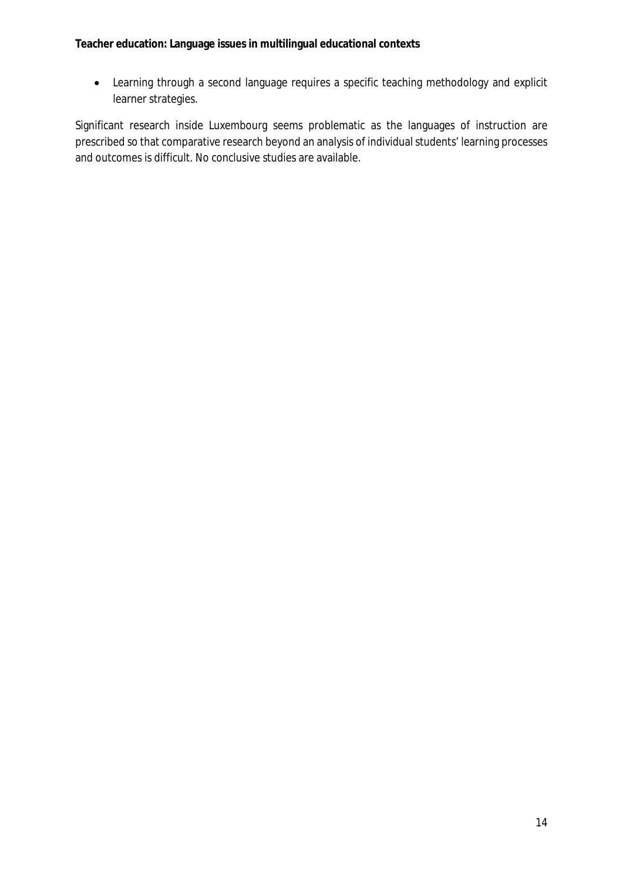Learning through a second language requires a specific teaching methodology and explicit learner strategies.

Significant research inside Luxembourg seems problematic as the languages of instruction are prescribed so that comparative research beyond an analysis of individual students' learning processes and outcomes is difficult. No conclusive studies are available.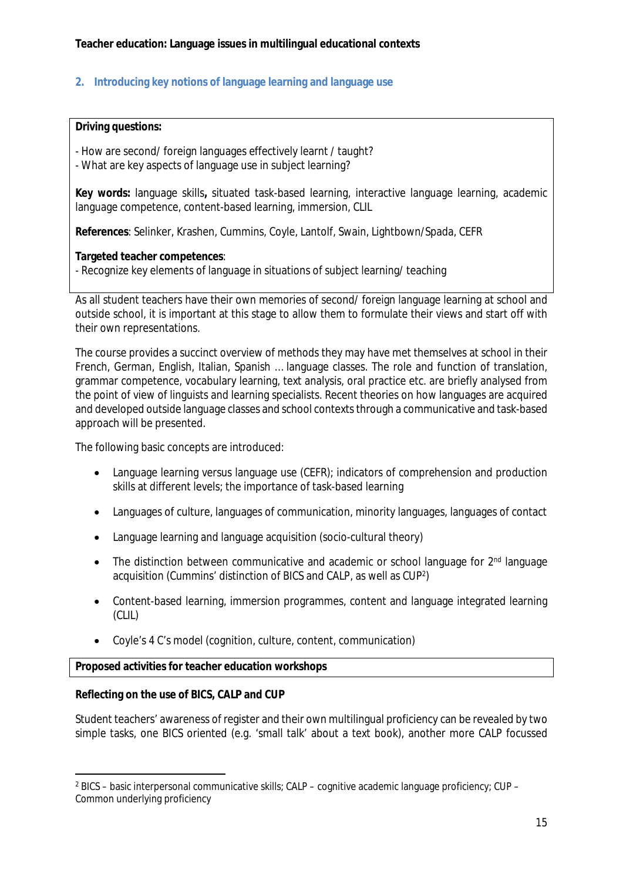## <span id="page-14-0"></span>**2. Introducing key notions of language learning and language use**

#### **Driving questions:**

- How are second/ foreign languages effectively learnt / taught?

- What are key aspects of language use in subject learning?

**Key words:** language skills**,** situated task-based learning, interactive language learning, academic language competence, content-based learning, immersion, CLIL

**References**: Selinker, Krashen, Cummins, Coyle, Lantolf, Swain, Lightbown/Spada, CEFR

**Targeted teacher competences**:

- Recognize key elements of language in situations of subject learning/ teaching

As all student teachers have their own memories of second/ foreign language learning at school and outside school, it is important at this stage to allow them to formulate their views and start off with their own representations.

The course provides a succinct overview of methods they may have met themselves at school in their French, German, English, Italian, Spanish … language classes. The role and function of translation, grammar competence, vocabulary learning, text analysis, oral practice etc. are briefly analysed from the point of view of linguists and learning specialists. Recent theories on how languages are acquired and developed outside language classes and school contexts through a communicative and task-based approach will be presented.

The following basic concepts are introduced:

- Language learning versus language use (CEFR); indicators of comprehension and production skills at different levels; the importance of task-based learning
- Languages of culture, languages of communication, minority languages, languages of contact
- Language learning and language acquisition (socio-cultural theory)
- The distinction between communicative and academic or school language for 2<sup>nd</sup> language acquisition (Cummins' distinction of BICS and CALP, as well as CUP<sup>2</sup> )
- Content-based learning, immersion programmes, content and language integrated learning (CLIL)
- Coyle's 4 C's model (cognition, culture, content, communication)

**Proposed activities for teacher education workshops**

**Reflecting on the use of BICS, CALP and CUP**

Student teachers' awareness of register and their own multilingual proficiency can be revealed by two simple tasks, one BICS oriented (e.g. 'small talk' about a text book), another more CALP focussed

<sup>2</sup> BICS – basic interpersonal communicative skills; CALP – cognitive academic language proficiency; CUP – Common underlying proficiency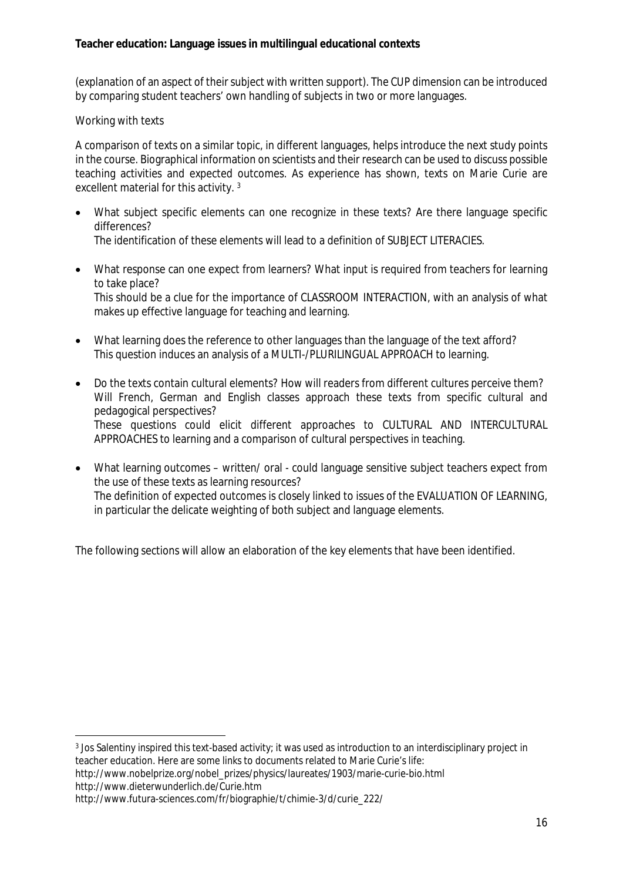(explanation of an aspect of theirsubject with written support). The CUP dimension can be introduced by comparing student teachers' own handling of subjects in two or more languages.

### Working with texts

A comparison of texts on a similar topic, in different languages, helps introduce the next study points in the course. Biographical information on scientists and their research can be used to discuss possible teaching activities and expected outcomes. As experience has shown, texts on Marie Curie are excellent material for this activity. <sup>3</sup>

- What subject specific elements can one recognize in these texts? Are there language specific differences? The identification of these elements will lead to a definition of SUBJECT LITERACIES.
- What response can one expect from learners? What input is required from teachers for learning to take place? This should be a clue for the importance of CLASSROOM INTERACTION, with an analysis of what makes up effective language for teaching and learning.
- What learning does the reference to other languages than the language of the text afford? This question induces an analysis of a MULTI-/PLURILINGUAL APPROACH to learning.
- Do the texts contain cultural elements? How will readers from different cultures perceive them? Will French, German and English classes approach these texts from specific cultural and pedagogical perspectives? These questions could elicit different approaches to CULTURAL AND INTERCULTURAL APPROACHES to learning and a comparison of cultural perspectives in teaching.
- What learning outcomes written/ oral could language sensitive subject teachers expect from the use of these texts as learning resources? The definition of expected outcomes is closely linked to issues of the EVALUATION OF LEARNING, in particular the delicate weighting of both subject and language elements.

The following sections will allow an elaboration of the key elements that have been identified.

<sup>3</sup> Jos Salentiny inspired this text-based activity; it was used as introduction to an interdisciplinary project in teacher education. Here are some links to documents related to Marie Curie's life:

http://www.nobelprize.org/nobel\_prizes/physics/laureates/1903/marie-curie-bio.html http://www.dieterwunderlich.de/Curie.htm

http://www.futura-sciences.com/fr/biographie/t/chimie-3/d/curie\_222/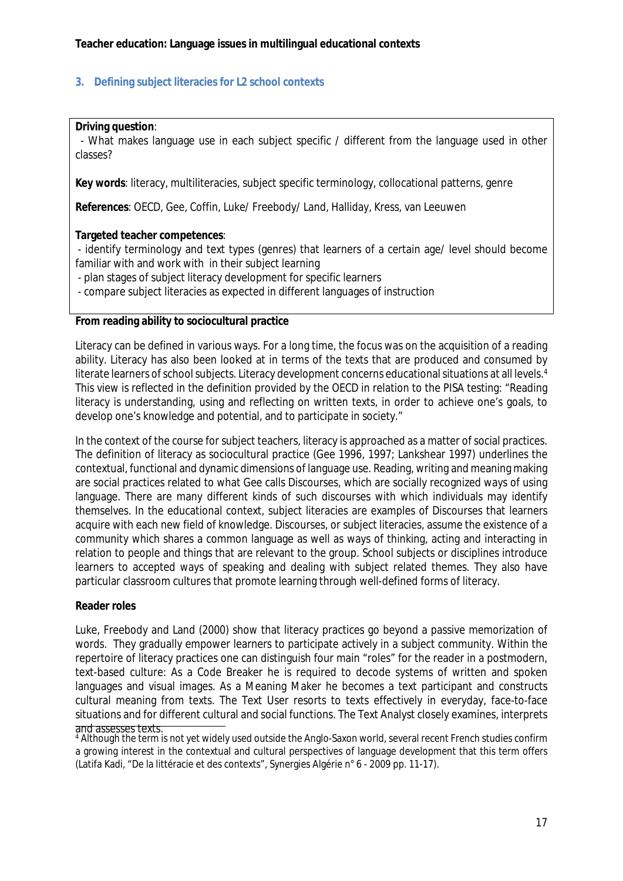#### <span id="page-16-0"></span>**3. Defining subject literacies for L2 school contexts**

**Driving question**:

 - What makes language use in each subject specific / different from the language used in other classes?

**Key words**: literacy, multiliteracies, subject specific terminology, collocational patterns, genre

**References**: OECD, Gee, Coffin, Luke/ Freebody/ Land, Halliday, Kress, van Leeuwen

**Targeted teacher competences**:

- identify terminology and text types (genres) that learners of a certain age/ level should become familiar with and work with in their subject learning

- plan stages of subject literacy development for specific learners

- compare subject literacies as expected in different languages of instruction

**From reading ability to sociocultural practice**

Literacy can be defined in various ways. For a long time, the focus was on the acquisition of a reading ability. Literacy has also been looked at in terms of the texts that are produced and consumed by literate learners of school subjects. Literacy development concerns educational situations at all levels.<sup>4</sup> This view is reflected in the definition provided by the OECD in relation to the PISA testing: "Reading literacy is understanding, using and reflecting on written texts, in order to achieve one's goals, to develop one's knowledge and potential, and to participate in society."

In the context of the course for subject teachers, literacy is approached as a matter of social practices. The definition of literacy as sociocultural practice (Gee 1996, 1997; Lankshear 1997) underlines the contextual, functional and dynamic dimensions of language use. Reading, writing and meaning making are social practices related to what Gee calls Discourses, which are socially recognized ways of using language. There are many different kinds of such discourses with which individuals may identify themselves. In the educational context, subject literacies are examples of Discourses that learners acquire with each new field of knowledge. Discourses, or subject literacies, assume the existence of a community which shares a common language as well as ways of thinking, acting and interacting in relation to people and things that are relevant to the group. School subjects or disciplines introduce learners to accepted ways of speaking and dealing with subject related themes. They also have particular classroom cultures that promote learning through well-defined forms of literacy.

#### **Reader roles**

Luke, Freebody and Land (2000) show that literacy practices go beyond a passive memorization of words. They gradually empower learners to participate actively in a subject community. Within the repertoire of literacy practices one can distinguish four main "roles" for the reader in a postmodern, text-based culture: As a Code Breaker he is required to decode systems of written and spoken languages and visual images. As a Meaning Maker he becomes a text participant and constructs cultural meaning from texts. The Text User resorts to texts effectively in everyday, face-to-face situations and for different cultural and social functions. The Text Analyst closely examines, interprets and assesses texts.

<sup>4</sup> Although the term is not yet widely used outside the Anglo-Saxon world, several recent French studies confirm a growing interest in the contextual and cultural perspectives of language development that this term offers (Latifa Kadi, "De la littéracie et des contexts", Synergies Algérie n° 6 - 2009 pp. 11-17).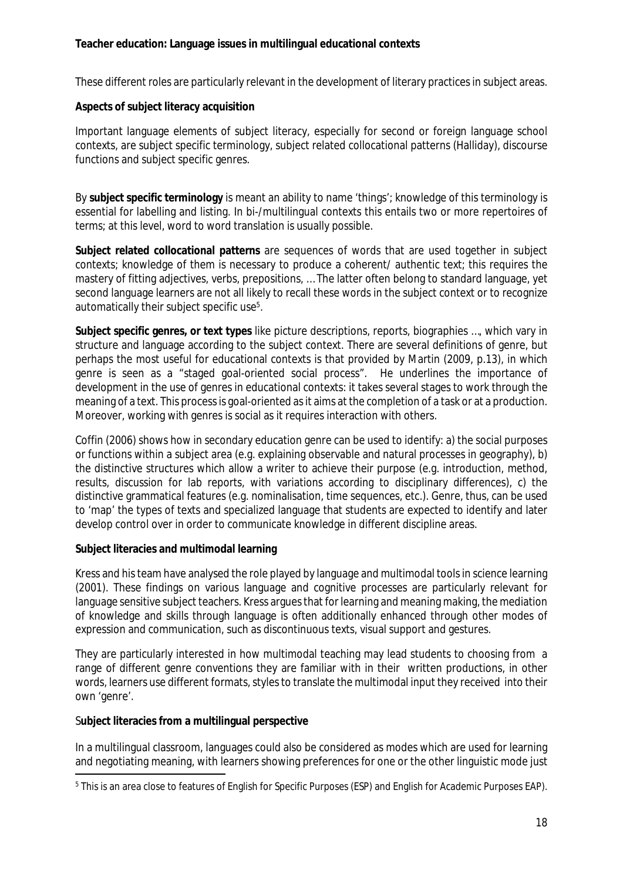These different roles are particularly relevant in the development of literary practices in subject areas.

**Aspects of subject literacy acquisition**

Important language elements of subject literacy, especially for second or foreign language school contexts, are subject specific terminology, subject related collocational patterns (Halliday), discourse functions and subject specific genres.

By **subject specific terminology** is meant an ability to name 'things'; knowledge of this terminology is essential for labelling and listing. In bi-/multilingual contexts this entails two or more repertoires of terms; at this level, word to word translation is usually possible.

**Subject related collocational patterns** are sequences of words that are used together in subject contexts; knowledge of them is necessary to produce a coherent/ authentic text; this requires the mastery of fitting adjectives, verbs, prepositions, … The latter often belong to standard language, yet second language learners are not all likely to recall these words in the subject context or to recognize automatically their subject specific use<sup>5</sup>.

**Subject specific genres, or text types** like picture descriptions, reports, biographies …, which vary in structure and language according to the subject context. There are several definitions of genre, but perhaps the most useful for educational contexts is that provided by Martin (2009, p.13), in which genre is seen as a "staged goal-oriented social process". He underlines the importance of development in the use of genres in educational contexts: it takes several stages to work through the meaning of a text. This process is goal-oriented as it aims at the completion of a task or at a production. Moreover, working with genres is social as it requires interaction with others.

Coffin (2006) shows how in secondary education genre can be used to identify: a) the social purposes or functions within a subject area (e.g. explaining observable and natural processes in geography), b) the distinctive structures which allow a writer to achieve their purpose (e.g. introduction, method, results, discussion for lab reports, with variations according to disciplinary differences), c) the distinctive grammatical features (e.g. nominalisation, time sequences, etc.). Genre, thus, can be used to 'map' the types of texts and specialized language that students are expected to identify and later develop control over in order to communicate knowledge in different discipline areas.

**Subject literacies and multimodal learning**

Kress and his team have analysed the role played by language and multimodal tools in science learning (2001). These findings on various language and cognitive processes are particularly relevant for language sensitive subject teachers. Kress argues that for learning and meaning making, the mediation of knowledge and skills through language is often additionally enhanced through other modes of expression and communication, such as discontinuous texts, visual support and gestures.

They are particularly interested in how multimodal teaching may lead students to choosing from a range of different genre conventions they are familiar with in their written productions, in other words, learners use different formats, styles to translate the multimodal input they received into their own 'genre'.

S**ubject literacies from a multilingual perspective**

In a multilingual classroom, languages could also be considered as modes which are used for learning and negotiating meaning, with learners showing preferences for one or the other linguistic mode just

<sup>5</sup> This is an area close to features of English for Specific Purposes (ESP) and English for Academic Purposes EAP).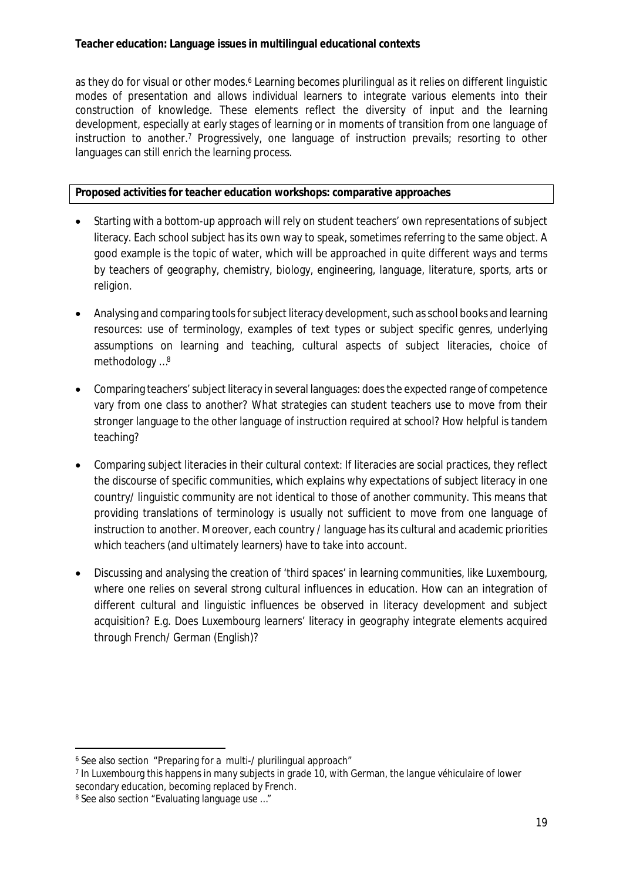as they do for visual or other modes.<sup>6</sup> Learning becomes plurilingual as it relies on different linguistic modes of presentation and allows individual learners to integrate various elements into their construction of knowledge. These elements reflect the diversity of input and the learning development, especially at early stages of learning or in moments of transition from one language of instruction to another.<sup>7</sup> Progressively, one language of instruction prevails; resorting to other languages can still enrich the learning process.

**Proposed activities for teacher education workshops: comparative approaches**

- Starting with a bottom-up approach will rely on student teachers' own representations of subject literacy. Each school subject has its own way to speak, sometimes referring to the same object. A good example is the topic of water, which will be approached in quite different ways and terms by teachers of geography, chemistry, biology, engineering, language, literature, sports, arts or religion.
- Analysing and comparing tools for subject literacy development, such as school books and learning resources: use of terminology, examples of text types or subject specific genres, underlying assumptions on learning and teaching, cultural aspects of subject literacies, choice of methodology …<sup>8</sup>
- Comparing teachers' subject literacy in several languages: does the expected range of competence vary from one class to another? What strategies can student teachers use to move from their stronger language to the other language of instruction required at school? How helpful is tandem teaching?
- Comparing subject literacies in their cultural context: If literacies are social practices, they reflect the discourse of specific communities, which explains why expectations of subject literacy in one country/ linguistic community are not identical to those of another community. This means that providing translations of terminology is usually not sufficient to move from one language of instruction to another. Moreover, each country / language has its cultural and academic priorities which teachers (and ultimately learners) have to take into account.
- Discussing and analysing the creation of 'third spaces' in learning communities, like Luxembourg, where one relies on several strong cultural influences in education. How can an integration of different cultural and linguistic influences be observed in literacy development and subject acquisition? E.g. Does Luxembourg learners' literacy in geography integrate elements acquired through French/ German (English)?

7 In Luxembourg this happens in many subjects in grade 10, with German, the *langue véhiculaire* of lower secondary education, becoming replaced by French.

<sup>6</sup> See also section "Preparing for a multi-/ plurilingual approach"

<sup>8</sup> See also section "Evaluating language use …"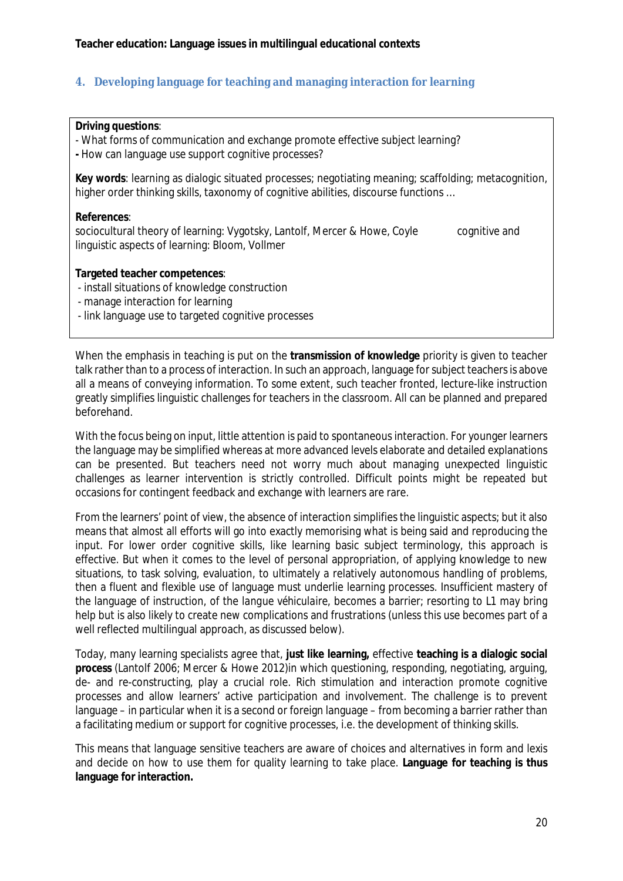## <span id="page-19-0"></span>**4. Developing language for teaching and managing interaction for learning**

#### **Driving questions**:

- What forms of communication and exchange promote effective subject learning? **-** How can language use support cognitive processes?

**Key words**: learning as dialogic situated processes; negotiating meaning; scaffolding; metacognition, higher order thinking skills, taxonomy of cognitive abilities, discourse functions …

#### **References**:

sociocultural theory of learning: Vygotsky, Lantolf, Mercer & Howe, Coyle cognitive and linguistic aspects of learning: Bloom, Vollmer

**Targeted teacher competences**:

- install situations of knowledge construction
- manage interaction for learning
- link language use to targeted cognitive processes

When the emphasis in teaching is put on the **transmission of knowledge** priority is given to teacher talk rather than to a process of interaction. In such an approach, language forsubject teachersis above all a means of conveying information. To some extent, such teacher fronted, lecture-like instruction greatly simplifies linguistic challenges for teachers in the classroom. All can be planned and prepared beforehand.

With the focus being on input, little attention is paid to spontaneous interaction. For younger learners the language may be simplified whereas at more advanced levels elaborate and detailed explanations can be presented. But teachers need not worry much about managing unexpected linguistic challenges as learner intervention is strictly controlled. Difficult points might be repeated but occasions for contingent feedback and exchange with learners are rare.

From the learners' point of view, the absence of interaction simplifies the linguistic aspects; but it also means that almost all efforts will go into exactly memorising what is being said and reproducing the input. For lower order cognitive skills, like learning basic subject terminology, this approach is effective. But when it comes to the level of personal appropriation, of applying knowledge to new situations, to task solving, evaluation, to ultimately a relatively autonomous handling of problems, then a fluent and flexible use of language must underlie learning processes. Insufficient mastery of the language of instruction, of the *langue véhiculaire*, becomes a barrier; resorting to L1 may bring help but is also likely to create new complications and frustrations (unless this use becomes part of a well reflected multilingual approach, as discussed below).

Today, many learning specialists agree that, **just like learning,** effective **teaching is a dialogic social process** (Lantolf 2006; Mercer & Howe 2012)in which questioning, responding, negotiating, arguing, de- and re-constructing, play a crucial role. Rich stimulation and interaction promote cognitive processes and allow learners' active participation and involvement. The challenge is to prevent language – in particular when it is a second or foreign language – from becoming a barrier rather than a facilitating medium or support for cognitive processes, i.e. the development of thinking skills.

This means that language sensitive teachers are aware of choices and alternatives in form and lexis and decide on how to use them for quality learning to take place. **Language for teaching is thus language for interaction.**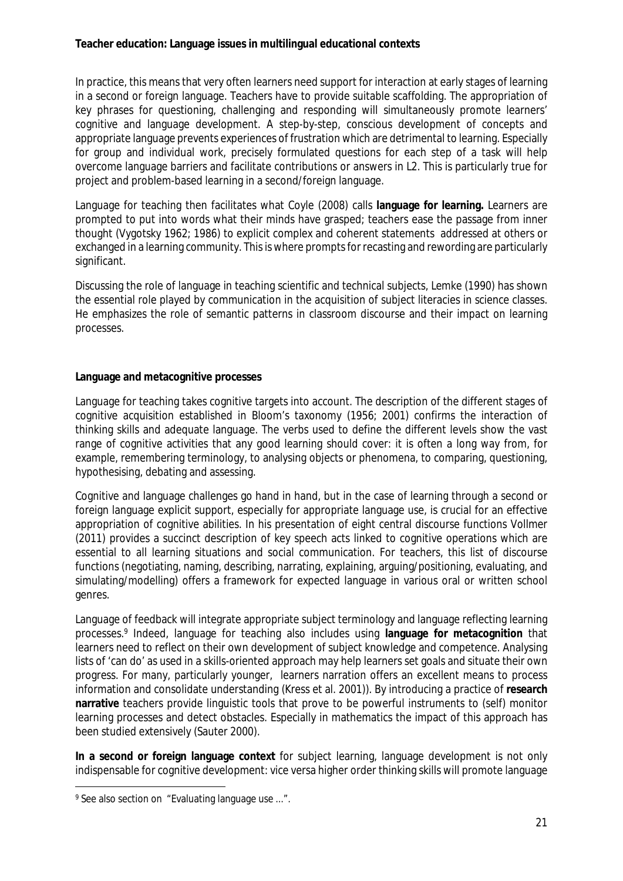In practice, this means that very often learners need support for interaction at early stages of learning in a second or foreign language. Teachers have to provide suitable scaffolding. The appropriation of key phrases for questioning, challenging and responding will simultaneously promote learners' cognitive and language development. A step-by-step, conscious development of concepts and appropriate language prevents experiences of frustration which are detrimental to learning. Especially for group and individual work, precisely formulated questions for each step of a task will help overcome language barriers and facilitate contributions or answers in L2. This is particularly true for project and problem-based learning in a second/foreign language.

Language for teaching then facilitates what Coyle (2008) calls **language for learning.** Learners are prompted to put into words what their minds have grasped; teachers ease the passage from inner thought (Vygotsky 1962; 1986) to explicit complex and coherent statements addressed at others or exchanged in a learning community. Thisis where promptsfor recasting and rewording are particularly significant.

Discussing the role of language in teaching scientific and technical subjects, Lemke (1990) has shown the essential role played by communication in the acquisition of subject literacies in science classes. He emphasizes the role of semantic patterns in classroom discourse and their impact on learning processes.

#### **Language and metacognitive processes**

Language for teaching takes cognitive targets into account. The description of the different stages of cognitive acquisition established in Bloom's taxonomy (1956; 2001) confirms the interaction of thinking skills and adequate language. The verbs used to define the different levels show the vast range of cognitive activities that any good learning should cover: it is often a long way from, for example, remembering terminology, to analysing objects or phenomena, to comparing, questioning, hypothesising, debating and assessing.

Cognitive and language challenges go hand in hand, but in the case of learning through a second or foreign language explicit support, especially for appropriate language use, is crucial for an effective appropriation of cognitive abilities. In his presentation of eight central discourse functions Vollmer (2011) provides a succinct description of key speech acts linked to cognitive operations which are essential to all learning situations and social communication. For teachers, this list of discourse functions (negotiating, naming, describing, narrating, explaining, arguing/positioning, evaluating, and simulating/modelling) offers a framework for expected language in various oral or written school genres.

Language of feedback will integrate appropriate subject terminology and language reflecting learning processes.<sup>9</sup> Indeed, language for teaching also includes using **language for metacognition** that learners need to reflect on their own development of subject knowledge and competence. Analysing lists of 'can do' as used in a skills-oriented approach may help learners set goals and situate their own progress. For many, particularly younger, learners narration offers an excellent means to process information and consolidate understanding (Kress et al. 2001)). By introducing a practice of **research narrative** teachers provide linguistic tools that prove to be powerful instruments to (self) monitor learning processes and detect obstacles. Especially in mathematics the impact of this approach has been studied extensively (Sauter 2000).

**In a second or foreign language context** for subject learning, language development is not only indispensable for cognitive development: vice versa higher order thinking skills will promote language

<sup>9</sup> See also section on "Evaluating language use ...".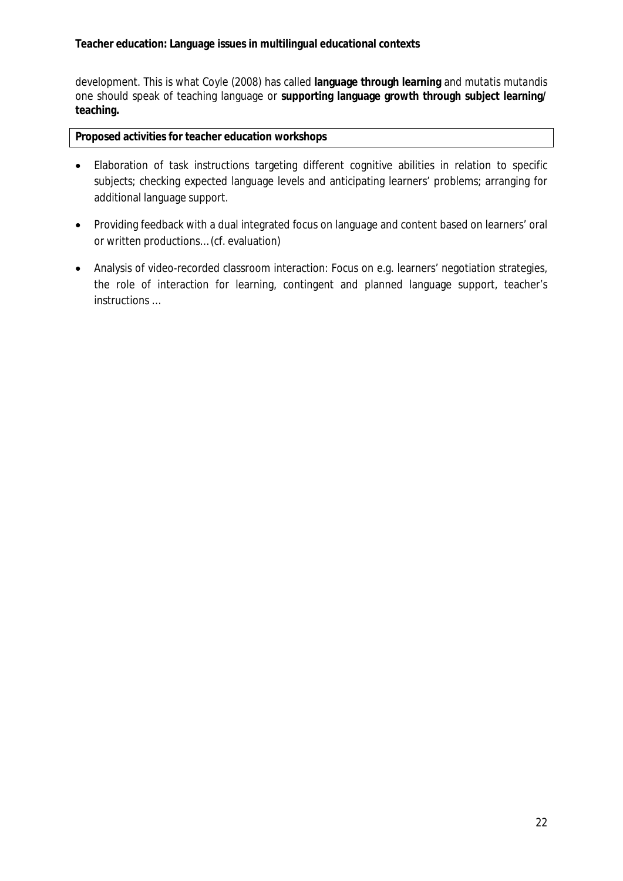development. This is what Coyle (2008) has called **language through learning** and *mutatis mutandis* one should speak of teaching language or **supporting language growth through subject learning/ teaching.**

**Proposed activities for teacher education workshops**

- Elaboration of task instructions targeting different cognitive abilities in relation to specific subjects; checking expected language levels and anticipating learners' problems; arranging for additional language support.
- Providing feedback with a dual integrated focus on language and content based on learners' oral or written productions… (cf. evaluation)
- Analysis of video-recorded classroom interaction: Focus on e.g. learners' negotiation strategies, the role of interaction for learning, contingent and planned language support, teacher's instructions …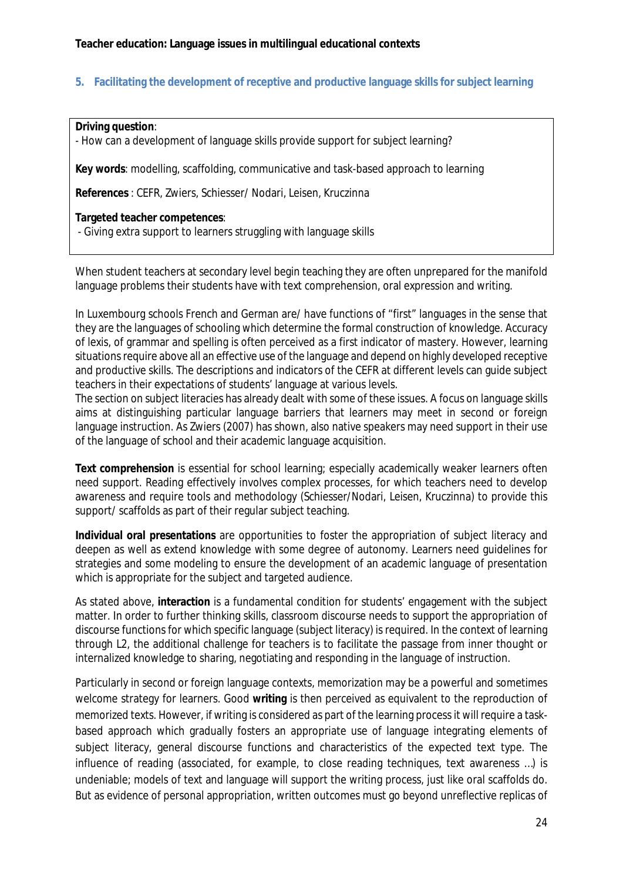#### <span id="page-23-0"></span>**5. Facilitating the development of receptive and productive language skills for subject learning**

**Driving question**:

- How can a development of language skills provide support for subject learning?

**Key words**: modelling, scaffolding, communicative and task-based approach to learning

**References** : CEFR, Zwiers, Schiesser/ Nodari, Leisen, Kruczinna

**Targeted teacher competences**:

- Giving extra support to learners struggling with language skills

When student teachers at secondary level begin teaching they are often unprepared for the manifold language problems their students have with text comprehension, oral expression and writing.

In Luxembourg schools French and German are/ have functions of "first" languages in the sense that they are the languages of schooling which determine the formal construction of knowledge. Accuracy of lexis, of grammar and spelling is often perceived as a first indicator of mastery. However, learning situations require above all an effective use of the language and depend on highly developed receptive and productive skills. The descriptions and indicators of the CEFR at different levels can guide subject teachers in their expectations of students' language at various levels.

The section on subject literacies has already dealt with some of these issues. A focus on language skills aims at distinguishing particular language barriers that learners may meet in second or foreign language instruction. As Zwiers (2007) has shown, also native speakers may need support in their use of the language of school and their academic language acquisition.

**Text comprehension** is essential for school learning; especially academically weaker learners often need support. Reading effectively involves complex processes, for which teachers need to develop awareness and require tools and methodology (Schiesser/Nodari, Leisen, Kruczinna) to provide this support/ scaffolds as part of their regular subject teaching.

**Individual oral presentations** are opportunities to foster the appropriation of subject literacy and deepen as well as extend knowledge with some degree of autonomy. Learners need guidelines for strategies and some modeling to ensure the development of an academic language of presentation which is appropriate for the subject and targeted audience.

As stated above, **interaction** is a fundamental condition for students' engagement with the subject matter. In order to further thinking skills, classroom discourse needs to support the appropriation of discourse functions for which specific language (subject literacy) is required. In the context of learning through L2, the additional challenge for teachers is to facilitate the passage from inner thought or internalized knowledge to sharing, negotiating and responding in the language of instruction.

Particularly in second or foreign language contexts, memorization may be a powerful and sometimes welcome strategy for learners. Good **writing** is then perceived as equivalent to the reproduction of memorized texts. However, if writing is considered as part of the learning processit will require a taskbased approach which gradually fosters an appropriate use of language integrating elements of subject literacy, general discourse functions and characteristics of the expected text type. The influence of reading (associated, for example, to close reading techniques, text awareness …) is undeniable; models of text and language will support the writing process, just like oral scaffolds do. But as evidence of personal appropriation, written outcomes must go beyond unreflective replicas of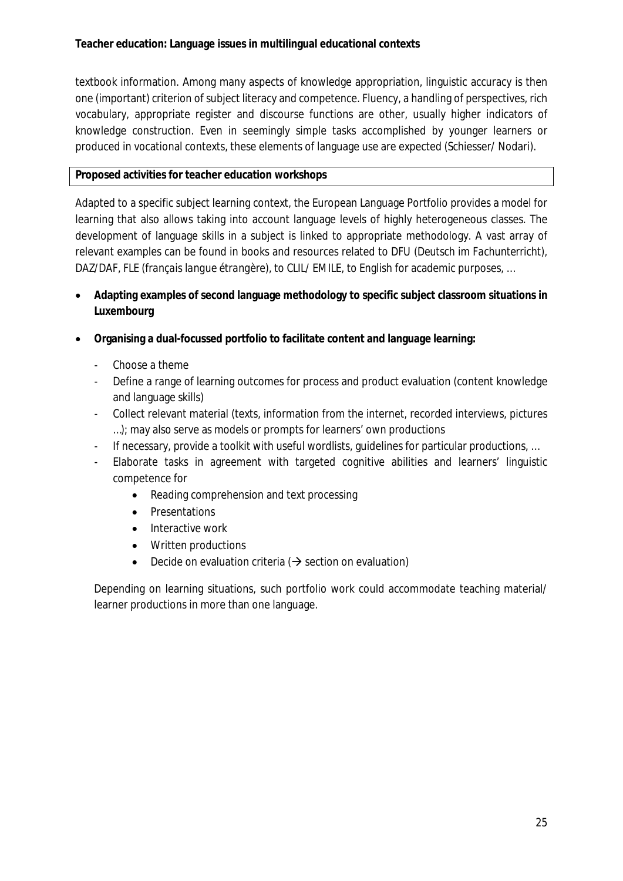textbook information. Among many aspects of knowledge appropriation, linguistic accuracy is then one (important) criterion of subject literacy and competence. Fluency, a handling of perspectives, rich vocabulary, appropriate register and discourse functions are other, usually higher indicators of knowledge construction. Even in seemingly simple tasks accomplished by younger learners or produced in vocational contexts, these elements of language use are expected (Schiesser/ Nodari).

## **Proposed activities for teacher education workshops**

Adapted to a specific subject learning context, the European Language Portfolio provides a model for learning that also allows taking into account language levels of highly heterogeneous classes. The development of language skills in a subject is linked to appropriate methodology. A vast array of relevant examples can be found in books and resources related to DFU (*Deutsch im Fachunterricht), DAZ/DAF, FLE (français langue étrangère),* to CLIL/ EMILE, to English for academic purposes, …

- **Adapting examples of second language methodology to specific subject classroom situations in Luxembourg**
- **Organising a dual-focussed portfolio to facilitate content and language learning:**
	- Choose a theme
	- Define a range of learning outcomes for process and product evaluation (content knowledge and language skills)
	- Collect relevant material (texts, information from the internet, recorded interviews, pictures …); may also serve as models or prompts for learners' own productions
	- If necessary, provide a toolkit with useful wordlists, guidelines for particular productions, ...
	- Elaborate tasks in agreement with targeted cognitive abilities and learners' linguistic competence for
		- Reading comprehension and text processing
		- Presentations
		- Interactive work
		- Written productions
		- Decide on evaluation criteria  $(\rightarrow)$  section on evaluation)

Depending on learning situations, such portfolio work could accommodate teaching material/ learner productions in more than one language.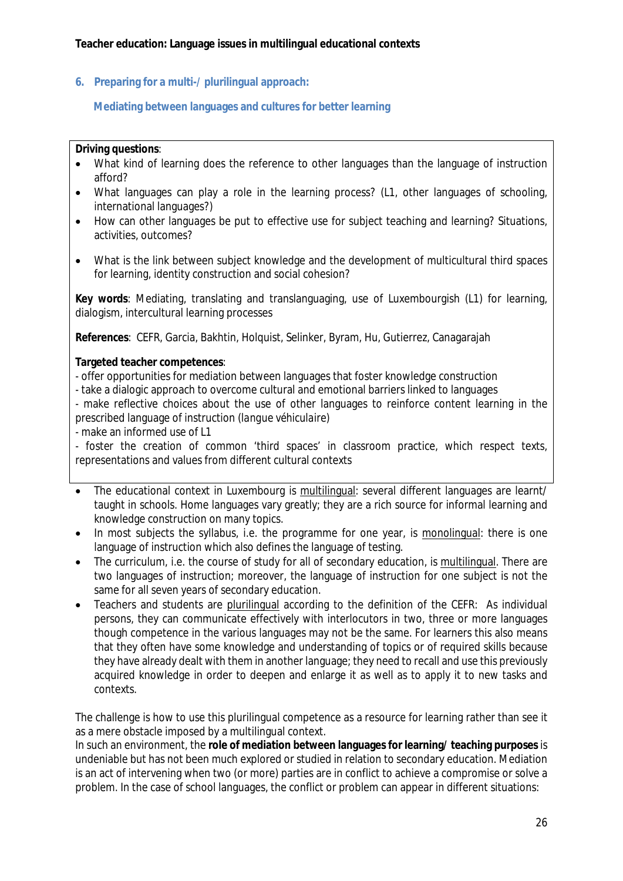<span id="page-25-0"></span>**6. Preparing for a multi-/ plurilingual approach:**

### <span id="page-25-1"></span> **Mediating between languages and cultures for better learning**

#### **Driving questions**:

- What kind of learning does the reference to other languages than the language of instruction afford?
- What languages can play a role in the learning process? (L1, other languages of schooling, international languages?)
- How can other languages be put to effective use for subject teaching and learning? Situations, activities, outcomes?
- What is the link between subject knowledge and the development of multicultural third spaces for learning, identity construction and social cohesion?

**Key words***:* Mediating, translating and translanguaging, use of Luxembourgish (L1) for learning, dialogism, intercultural learning processes

**References**: CEFR, Garcia, Bakhtin, Holquist, Selinker, Byram, Hu, Gutierrez, Canagarajah

**Targeted teacher competences**:

- offer opportunities for mediation between languages that foster knowledge construction
- take a dialogic approach to overcome cultural and emotional barriers linked to languages

- make reflective choices about the use of other languages to reinforce content learning in the prescribed language of instruction (*langue véhiculaire*)

- make an informed use of L1

- foster the creation of common 'third spaces' in classroom practice, which respect texts, representations and values from different cultural contexts

- The educational context in Luxembourg is multilingual: several different languages are learnt/ taught in schools. Home languages vary greatly; they are a rich source for informal learning and knowledge construction on many topics.
- In most subjects the syllabus, i.e. the programme for one year, is monolingual: there is one language of instruction which also defines the language of testing.
- The curriculum, i.e. the course of study for all of secondary education, is multilingual. There are two languages of instruction; moreover, the language of instruction for one subject is not the same for all seven years of secondary education.
- Teachers and students are plurilingual according to the definition of the CEFR: As individual persons, they can communicate effectively with interlocutors in two, three or more languages though competence in the various languages may not be the same. For learners this also means that they often have some knowledge and understanding of topics or of required skills because they have already dealt with them in another language; they need to recall and use this previously acquired knowledge in order to deepen and enlarge it as well as to apply it to new tasks and contexts.

The challenge is how to use this plurilingual competence as a resource for learning rather than see it as a mere obstacle imposed by a multilingual context.

In such an environment, the **role of mediation between languages for learning/ teaching purposes** is undeniable but has not been much explored or studied in relation to secondary education. Mediation is an act of intervening when two (or more) parties are in conflict to achieve a compromise or solve a problem. In the case of school languages, the conflict or problem can appear in different situations: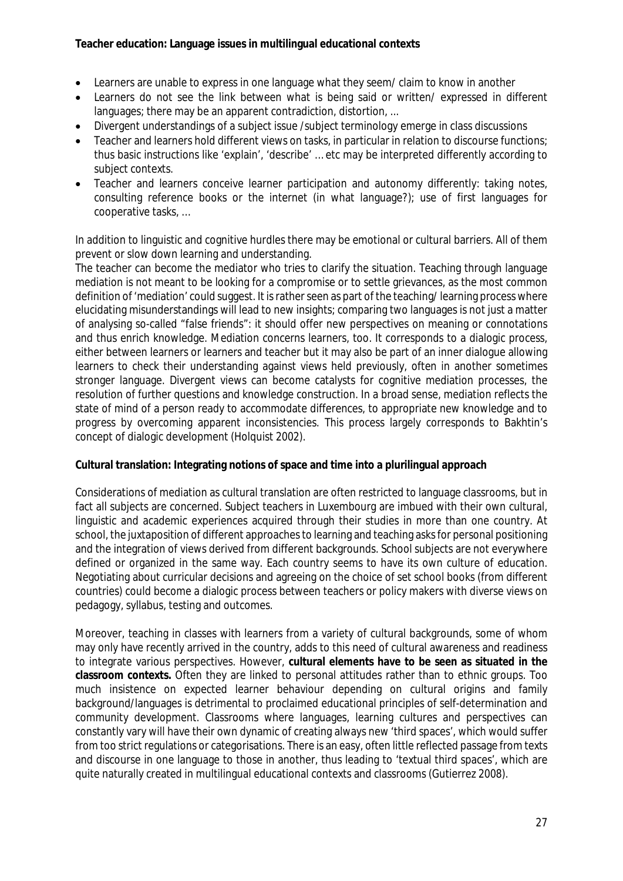- Learners are unable to express in one language what they seem/ claim to know in another
- Learners do not see the link between what is being said or written/ expressed in different languages; there may be an apparent contradiction, distortion, ...
- Divergent understandings of a subject issue /subject terminology emerge in class discussions
- Teacher and learners hold different views on tasks, in particular in relation to discourse functions; thus basic instructions like 'explain', 'describe' … etc may be interpreted differently according to subject contexts.
- Teacher and learners conceive learner participation and autonomy differently: taking notes, consulting reference books or the internet (in what language?); use of first languages for cooperative tasks, …

In addition to linguistic and cognitive hurdles there may be emotional or cultural barriers. All of them prevent or slow down learning and understanding.

The teacher can become the mediator who tries to clarify the situation. Teaching through language mediation is not meant to be looking for a compromise or to settle grievances, as the most common definition of 'mediation' could suggest. It is rather seen as part of the teaching/learning process where elucidating misunderstandings will lead to new insights; comparing two languages is not just a matter of analysing so-called "false friends": it should offer new perspectives on meaning or connotations and thus enrich knowledge. Mediation concerns learners, too. It corresponds to a dialogic process, either between learners or learners and teacher but it may also be part of an inner dialogue allowing learners to check their understanding against views held previously, often in another sometimes stronger language. Divergent views can become catalysts for cognitive mediation processes, the resolution of further questions and knowledge construction. In a broad sense, mediation reflects the state of mind of a person ready to accommodate differences, to appropriate new knowledge and to progress by overcoming apparent inconsistencies. This process largely corresponds to Bakhtin's concept of dialogic development (Holquist 2002).

**Cultural translation: Integrating notions of space and time into a plurilingual approach**

Considerations of mediation as cultural translation are often restricted to language classrooms, but in fact all subjects are concerned. Subject teachers in Luxembourg are imbued with their own cultural, linguistic and academic experiences acquired through their studies in more than one country. At school, the juxtaposition of different approaches to learning and teaching asks for personal positioning and the integration of views derived from different backgrounds. School subjects are not everywhere defined or organized in the same way. Each country seems to have its own culture of education. Negotiating about curricular decisions and agreeing on the choice of set school books (from different countries) could become a dialogic process between teachers or policy makers with diverse views on pedagogy, syllabus, testing and outcomes.

Moreover, teaching in classes with learners from a variety of cultural backgrounds, some of whom may only have recently arrived in the country, adds to this need of cultural awareness and readiness to integrate various perspectives. However, **cultural elements have to be seen as situated in the classroom contexts.** Often they are linked to personal attitudes rather than to ethnic groups. Too much insistence on expected learner behaviour depending on cultural origins and family background/languages is detrimental to proclaimed educational principles of self-determination and community development. Classrooms where languages, learning cultures and perspectives can constantly vary will have their own dynamic of creating always new 'third spaces', which would suffer from too strict regulations or categorisations. There is an easy, often little reflected passage from texts and discourse in one language to those in another, thus leading to 'textual third spaces', which are quite naturally created in multilingual educational contexts and classrooms (Gutierrez 2008).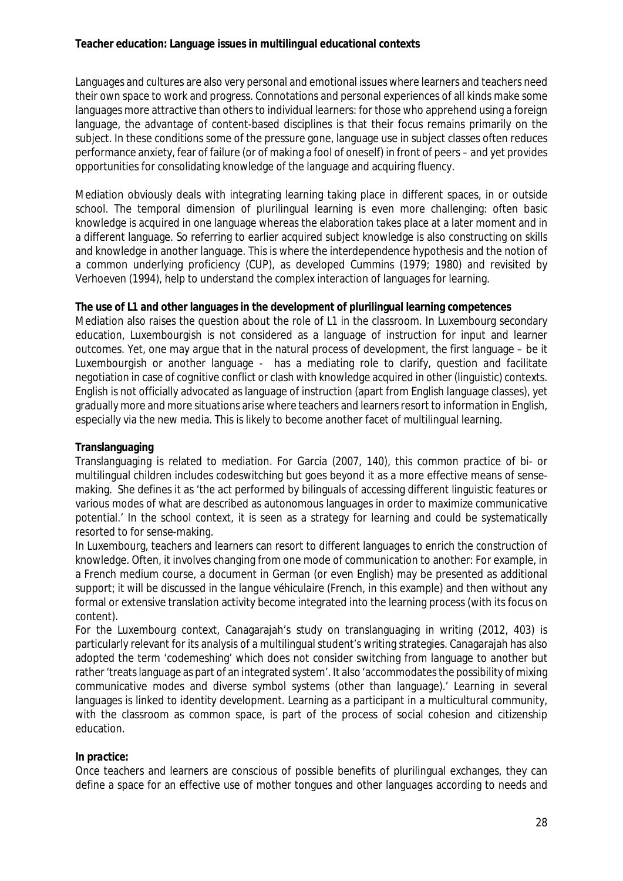Languages and cultures are also very personal and emotional issues where learners and teachers need their own space to work and progress. Connotations and personal experiences of all kinds make some languages more attractive than others to individual learners: for those who apprehend using a foreign language, the advantage of content-based disciplines is that their focus remains primarily on the subject. In these conditions some of the pressure gone, language use in subject classes often reduces performance anxiety, fear of failure (or of making a fool of oneself) in front of peers – and yet provides opportunities for consolidating knowledge of the language and acquiring fluency.

Mediation obviously deals with integrating learning taking place in different spaces, in or outside school. The temporal dimension of plurilingual learning is even more challenging: often basic knowledge is acquired in one language whereas the elaboration takes place at a later moment and in a different language. So referring to earlier acquired subject knowledge is also constructing on skills and knowledge in another language. This is where the interdependence hypothesis and the notion of a common underlying proficiency (CUP), as developed Cummins (1979; 1980) and revisited by Verhoeven (1994), help to understand the complex interaction of languages for learning.

**The use of L1 and other languages in the development of plurilingual learning competences** Mediation also raises the question about the role of L1 in the classroom. In Luxembourg secondary education, Luxembourgish is not considered as a language of instruction for input and learner outcomes. Yet, one may argue that in the natural process of development, the first language – be it Luxembourgish or another language - has a mediating role to clarify, question and facilitate negotiation in case of cognitive conflict or clash with knowledge acquired in other (linguistic) contexts. English is not officially advocated as language of instruction (apart from English language classes), yet gradually more and more situations arise where teachers and learners resort to information in English, especially via the new media. This is likely to become another facet of multilingual learning.

### **Translanguaging**

Translanguaging is related to mediation. For Garcia (2007, 140), this common practice of bi- or multilingual children includes codeswitching but goes beyond it as a more effective means of sensemaking. She defines it as 'the act performed by bilinguals of accessing different linguistic features or various modes of what are described as autonomous languages in order to maximize communicative potential.' In the school context, it is seen as a strategy for learning and could be systematically resorted to for sense-making.

In Luxembourg, teachers and learners can resort to different languages to enrich the construction of knowledge. Often, it involves changing from one mode of communication to another: For example, in a French medium course, a document in German (or even English) may be presented as additional support; it will be discussed in the *langue véhiculaire* (French, in this example) and then without any formal or extensive translation activity become integrated into the learning process (with its focus on content).

For the Luxembourg context, Canagarajah's study on translanguaging in writing (2012, 403) is particularly relevant for its analysis of a multilingual student's writing strategies. Canagarajah has also adopted the term 'codemeshing' which does not consider switching from language to another but rather'treatslanguage as part of an integrated system'. It also 'accommodatesthe possibility of mixing communicative modes and diverse symbol systems (other than language).' Learning in several languages is linked to identity development. Learning as a participant in a multicultural community, with the classroom as common space, is part of the process of social cohesion and citizenship education.

### *In practice:*

Once teachers and learners are conscious of possible benefits of plurilingual exchanges, they can define a space for an effective use of mother tongues and other languages according to needs and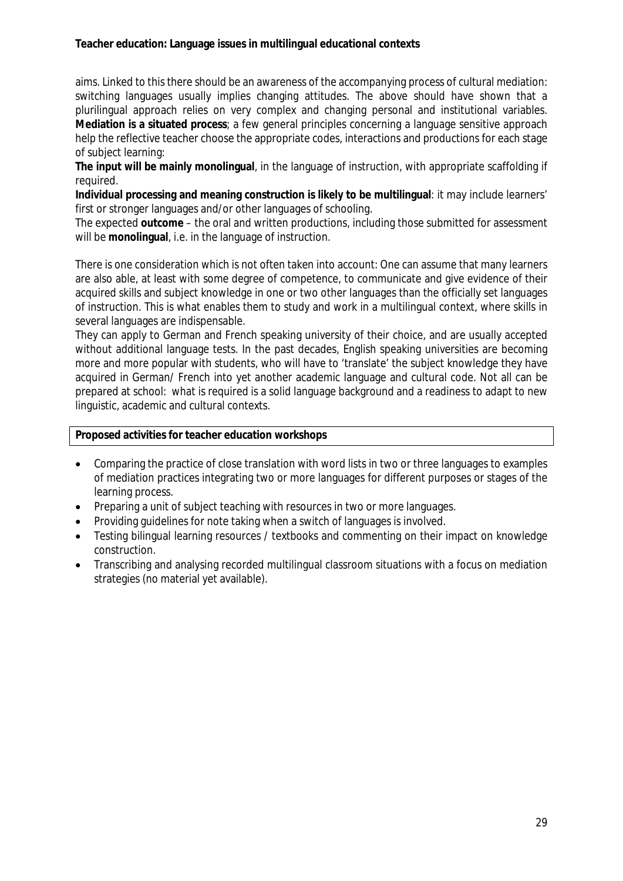aims. Linked to this there should be an awareness of the accompanying process of cultural mediation: switching languages usually implies changing attitudes. The above should have shown that a plurilingual approach relies on very complex and changing personal and institutional variables. **Mediation is a situated process**; a few general principles concerning a language sensitive approach help the reflective teacher choose the appropriate codes, interactions and productions for each stage of subject learning:

**The input will be mainly monolingual**, in the language of instruction, with appropriate scaffolding if required.

**Individual processing and meaning construction is likely to be multilingual**: it may include learners' first or stronger languages and/or other languages of schooling.

The expected **outcome** – the oral and written productions, including those submitted for assessment will be **monolingual**, i.e. in the language of instruction.

There is one consideration which is not often taken into account: One can assume that many learners are also able, at least with some degree of competence, to communicate and give evidence of their acquired skills and subject knowledge in one or two other languages than the officially set languages of instruction. This is what enables them to study and work in a multilingual context, where skills in several languages are indispensable.

They can apply to German and French speaking university of their choice, and are usually accepted without additional language tests. In the past decades, English speaking universities are becoming more and more popular with students, who will have to 'translate' the subject knowledge they have acquired in German/ French into yet another academic language and cultural code. Not all can be prepared at school: what is required is a solid language background and a readiness to adapt to new linguistic, academic and cultural contexts.

**Proposed activities for teacher education workshops**

- Comparing the practice of close translation with word lists in two or three languages to examples of mediation practices integrating two or more languages for different purposes or stages of the learning process.
- Preparing a unit of subject teaching with resources in two or more languages.
- Providing guidelines for note taking when a switch of languages is involved.
- Testing bilingual learning resources / textbooks and commenting on their impact on knowledge construction.
- Transcribing and analysing recorded multilingual classroom situations with a focus on mediation strategies (no material yet available).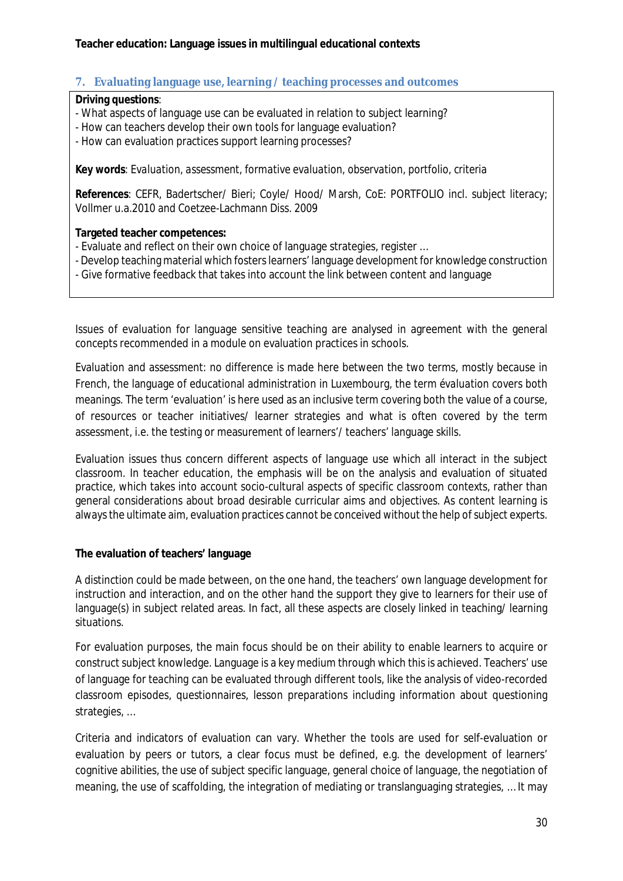# <span id="page-29-0"></span>**7. Evaluating language use, learning / teaching processes and outcomes**

**Driving questions**:

- What aspects of language use can be evaluated in relation to subject learning?
- How can teachers develop their own tools for language evaluation?
- How can evaluation practices support learning processes?

**Key words***: Evaluation, assessment, formative evaluation, observation, portfolio, criteria*

**References**: CEFR, Badertscher/ Bieri; Coyle/ Hood/ Marsh, CoE: PORTFOLIO incl. subject literacy; Vollmer u.a.2010 and Coetzee-Lachmann Diss. 2009

**Targeted teacher competences:**

- Evaluate and reflect on their own choice of language strategies, register …
- Develop teaching material which fosterslearners' language development for knowledge construction
- Give formative feedback that takes into account the link between content and language

Issues of evaluation for language sensitive teaching are analysed in agreement with the general concepts recommended in a module on evaluation practices in schools.

Evaluation and assessment: no difference is made here between the two terms, mostly because in French, the language of educational administration in Luxembourg, the term *évaluation* covers both meanings. The term 'evaluation' is here used as an inclusive term covering both the value of a course, of resources or teacher initiatives/ learner strategies and what is often covered by the term assessment, i.e. the testing or measurement of learners'/ teachers' language skills.

Evaluation issues thus concern different aspects of language use which all interact in the subject classroom. In teacher education, the emphasis will be on the analysis and evaluation of situated practice, which takes into account socio-cultural aspects of specific classroom contexts, rather than general considerations about broad desirable curricular aims and objectives. As content learning is always the ultimate aim, evaluation practices cannot be conceived without the help of subject experts.

### **The evaluation of teachers' language**

A distinction could be made between, on the one hand, the teachers' own language development for instruction and interaction, and on the other hand the support they give to learners for their use of language(s) in subject related areas. In fact, all these aspects are closely linked in teaching/ learning situations.

For evaluation purposes, the main focus should be on their ability to enable learners to acquire or construct subject knowledge. Language is a key medium through which this is achieved. Teachers' use of language *for teaching* can be evaluated through different tools, like the analysis of video-recorded classroom episodes, questionnaires, lesson preparations including information about questioning strategies, …

Criteria and indicators of evaluation can vary. Whether the tools are used for self-evaluation or evaluation by peers or tutors, a clear focus must be defined, e.g. the development of learners' cognitive abilities, the use of subject specific language, general choice of language, the negotiation of meaning, the use of scaffolding, the integration of mediating or translanguaging strategies, … It may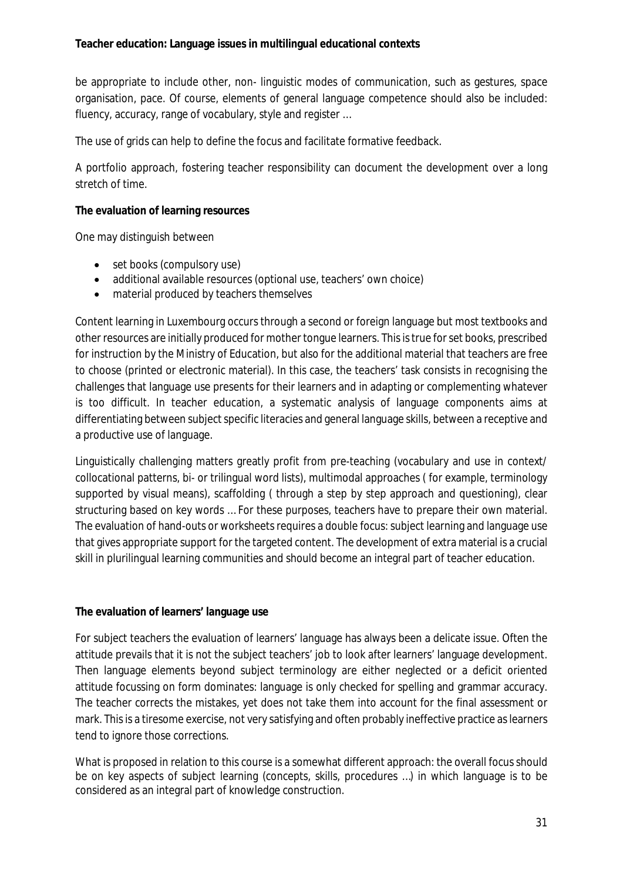be appropriate to include other, non- linguistic modes of communication, such as gestures, space organisation, pace. Of course, elements of general language competence should also be included: fluency, accuracy, range of vocabulary, style and register …

The use of grids can help to define the focus and facilitate formative feedback.

A portfolio approach, fostering teacher responsibility can document the development over a long stretch of time.

**The evaluation of learning resources**

One may distinguish between

- set books (compulsory use)
- additional available resources (optional use, teachers' own choice)
- material produced by teachers themselves

Content learning in Luxembourg occurs through a second or foreign language but most textbooks and other resources are initially produced for mother tongue learners. This is true for set books, prescribed for instruction by the Ministry of Education, but also for the additional material that teachers are free to choose (printed or electronic material). In this case, the teachers' task consists in recognising the challenges that language use presents for their learners and in adapting or complementing whatever is too difficult. In teacher education, a systematic analysis of language components aims at differentiating between subject specific literacies and general language skills, between a receptive and a productive use of language.

Linguistically challenging matters greatly profit from pre-teaching (vocabulary and use in context/ collocational patterns, bi- or trilingual word lists), multimodal approaches ( for example, terminology supported by visual means), scaffolding ( through a step by step approach and questioning), clear structuring based on key words … For these purposes, teachers have to prepare their own material. The evaluation of hand-outs or worksheets requires a double focus: subject learning and language use that gives appropriate support for the targeted content. The development of extra material is a crucial skill in plurilingual learning communities and should become an integral part of teacher education.

**The evaluation of learners' language use**

For subject teachers the evaluation of learners' language has always been a delicate issue. Often the attitude prevails that it is not the subject teachers' job to look after learners' language development. Then language elements beyond subject terminology are either neglected or a deficit oriented attitude focussing on form dominates: language is only checked for spelling and grammar accuracy. The teacher corrects the mistakes, yet does not take them into account for the final assessment or mark. Thisis a tiresome exercise, not very satisfying and often probably ineffective practice aslearners tend to ignore those corrections.

What is proposed in relation to this course is a somewhat different approach: the overall focus should be on key aspects of subject learning (concepts, skills, procedures …) in which language is to be considered as an integral part of knowledge construction.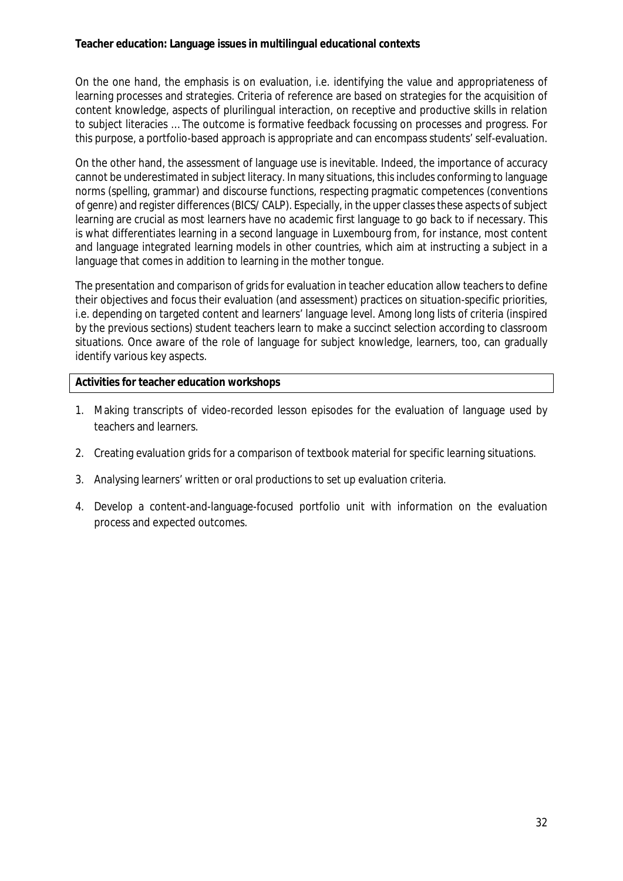On the one hand, the emphasis is on evaluation, i.e. identifying the value and appropriateness of learning processes and strategies. Criteria of reference are based on strategies for the acquisition of content knowledge, aspects of plurilingual interaction, on receptive and productive skills in relation to subject literacies … The outcome is formative feedback focussing on processes and progress. For this purpose, a portfolio-based approach is appropriate and can encompass students' self-evaluation.

On the other hand, the assessment of language use is inevitable. Indeed, the importance of accuracy cannot be underestimated in subject literacy. In many situations, this includes conforming to language norms (spelling, grammar) and discourse functions, respecting pragmatic competences (conventions of genre) and register differences(BICS/ CALP). Especially, in the upper classesthese aspects ofsubject learning are crucial as most learners have no academic first language to go back to if necessary. This is what differentiates learning in a second language in Luxembourg from, for instance, most content and language integrated learning models in other countries, which aim at instructing a subject in a language that comes in addition to learning in the mother tongue.

The presentation and comparison of grids for evaluation in teacher education allow teachers to define their objectives and focus their evaluation (and assessment) practices on situation-specific priorities, i.e. depending on targeted content and learners' language level. Among long lists of criteria (inspired by the previous sections) student teachers learn to make a succinct selection according to classroom situations. Once aware of the role of language for subject knowledge, learners, too, can gradually identify various key aspects.

**Activities for teacher education workshops**

- 1. Making transcripts of video-recorded lesson episodes for the evaluation of language used by teachers and learners.
- 2. Creating evaluation grids for a comparison of textbook material for specific learning situations.
- 3. Analysing learners' written or oral productions to set up evaluation criteria.
- 4. Develop a content-and-language-focused portfolio unit with information on the evaluation process and expected outcomes.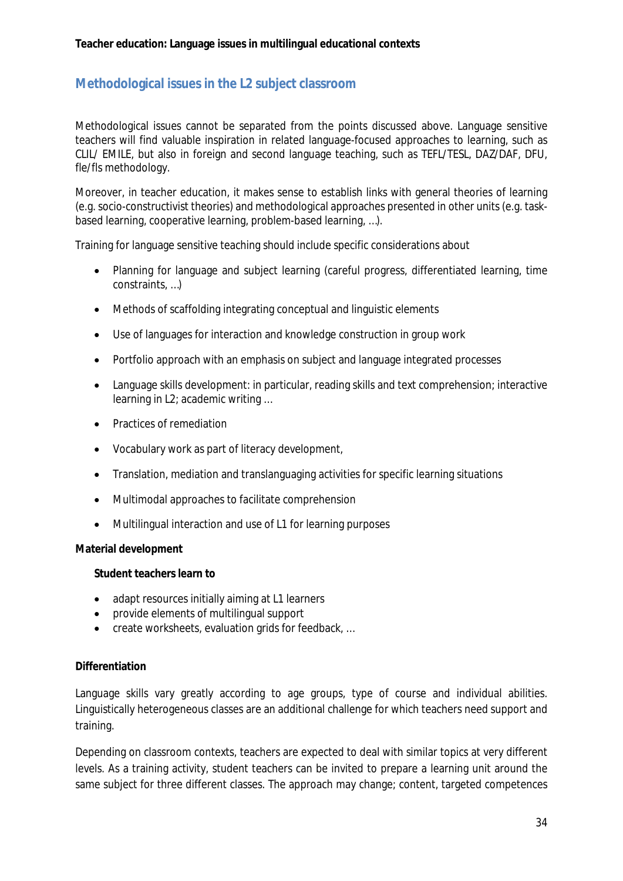# <span id="page-33-0"></span>**Methodological issues in the L2 subject classroom**

Methodological issues cannot be separated from the points discussed above. Language sensitive teachers will find valuable inspiration in related language-focused approaches to learning, such as CLIL/ EMILE, but also in foreign and second language teaching, such as TEFL/TESL, DAZ/DAF, DFU, fle/fls methodology.

Moreover, in teacher education, it makes sense to establish links with general theories of learning (e.g. socio-constructivist theories) and methodological approaches presented in other units (e.g. taskbased learning, cooperative learning, problem-based learning, …).

Training for language sensitive teaching should include specific considerations about

- Planning for language and subject learning (careful progress, differentiated learning, time constraints, …)
- Methods of scaffolding integrating conceptual and linguistic elements
- Use of languages for interaction and knowledge construction in group work
- Portfolio approach with an emphasis on subject and language integrated processes
- Language skills development: in particular, reading skills and text comprehension; interactive learning in L2; academic writing …
- Practices of remediation
- Vocabulary work as part of literacy development,
- Translation, mediation and translanguaging activities for specific learning situations
- Multimodal approaches to facilitate comprehension
- Multilingual interaction and use of L1 for learning purposes

#### **Material development**

**Student teachers learn to**

- adapt resources initially aiming at L1 learners
- provide elements of multilingual support
- **•** create worksheets, evaluation grids for feedback, ...

#### **Differentiation**

Language skills vary greatly according to age groups, type of course and individual abilities. Linguistically heterogeneous classes are an additional challenge for which teachers need support and training.

Depending on classroom contexts, teachers are expected to deal with similar topics at very different levels. As a training activity, student teachers can be invited to prepare a learning unit around the same subject for three different classes. The approach may change; content, targeted competences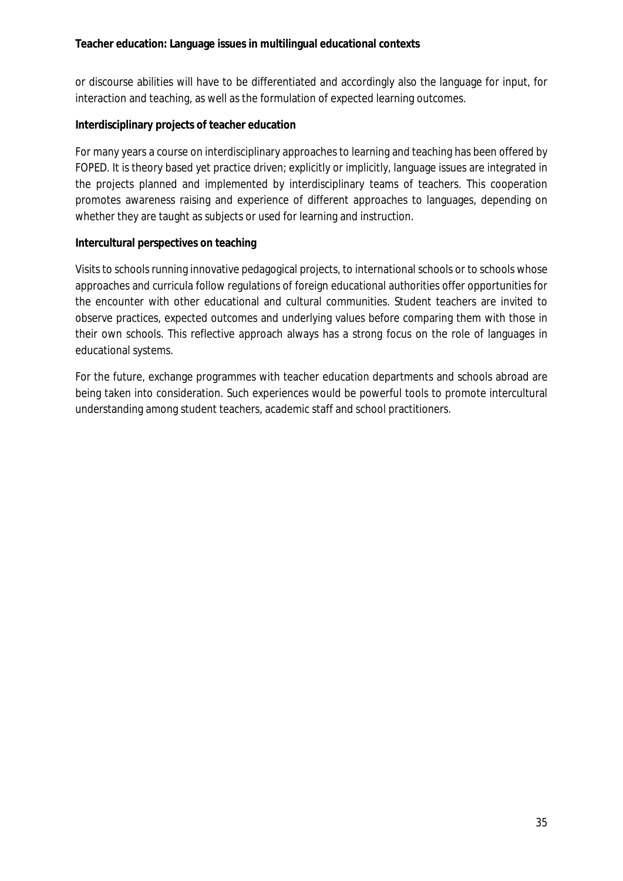or discourse abilities will have to be differentiated and accordingly also the language for input, for interaction and teaching, as well as the formulation of expected learning outcomes.

## **Interdisciplinary projects of teacher education**

For many years a course on interdisciplinary approaches to learning and teaching has been offered by FOPED. It is theory based yet practice driven; explicitly or implicitly, language issues are integrated in the projects planned and implemented by interdisciplinary teams of teachers. This cooperation promotes awareness raising and experience of different approaches to languages, depending on whether they are taught as subjects or used for learning and instruction.

### **Intercultural perspectives on teaching**

Visits to schools running innovative pedagogical projects, to international schools or to schools whose approaches and curricula follow regulations of foreign educational authorities offer opportunities for the encounter with other educational and cultural communities. Student teachers are invited to observe practices, expected outcomes and underlying values before comparing them with those in their own schools. This reflective approach always has a strong focus on the role of languages in educational systems.

For the future, exchange programmes with teacher education departments and schools abroad are being taken into consideration. Such experiences would be powerful tools to promote intercultural understanding among student teachers, academic staff and school practitioners.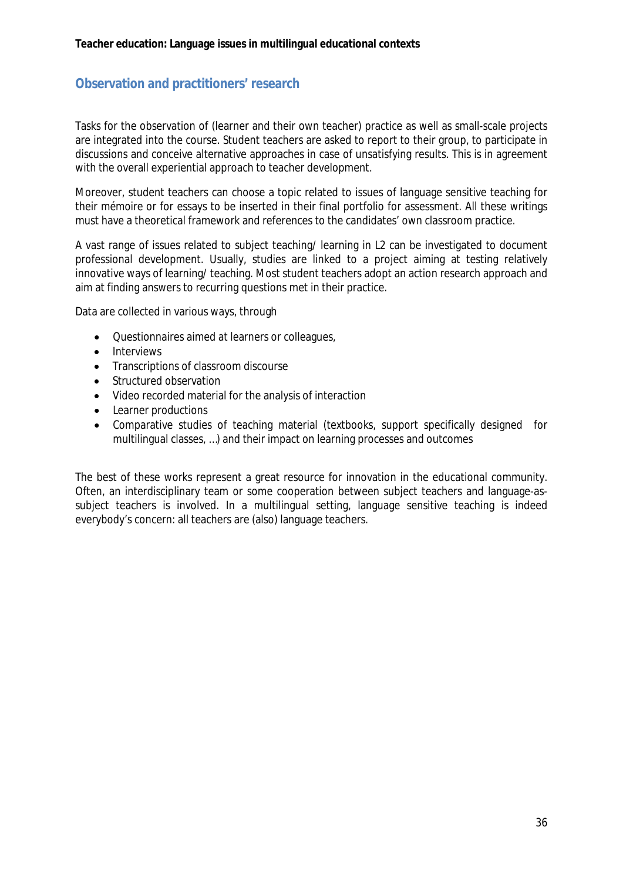# <span id="page-35-0"></span>**Observation and practitioners' research**

Tasks for the observation of (learner and their own teacher) practice as well as small-scale projects are integrated into the course. Student teachers are asked to report to their group, to participate in discussions and conceive alternative approaches in case of unsatisfying results. This is in agreement with the overall experiential approach to teacher development.

Moreover, student teachers can choose a topic related to issues of language sensitive teaching for their *mémoire* or for essays to be inserted in their final portfolio for assessment. All these writings must have a theoretical framework and references to the candidates' own classroom practice.

A vast range of issues related to subject teaching/ learning in L2 can be investigated to document professional development. Usually, studies are linked to a project aiming at testing relatively innovative ways of learning/ teaching. Most student teachers adopt an action research approach and aim at finding answers to recurring questions met in their practice.

Data are collected in various ways, through

- Questionnaires aimed at learners or colleagues,
- $\bullet$  Interviews
- Transcriptions of classroom discourse
- Structured observation
- Video recorded material for the analysis of interaction
- Learner productions
- Comparative studies of teaching material (textbooks, support specifically designed for multilingual classes, …) and their impact on learning processes and outcomes

<span id="page-35-1"></span>The best of these works represent a great resource for innovation in the educational community. Often, an interdisciplinary team or some cooperation between subject teachers and language-assubject teachers is involved. In a multilingual setting, language sensitive teaching is indeed everybody's concern: all teachers are (also) language teachers.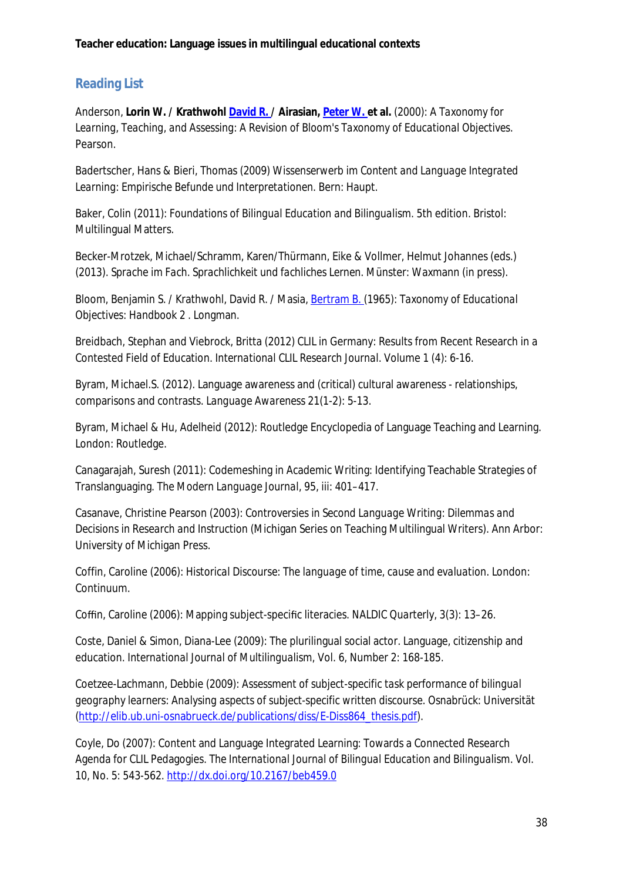# **Reading List**

Anderson, **Lorin W. / Krathwohl [David](http://www.amazon.co.uk/s/ref=ntt_athr_dp_sr_2?_encoding=UTF8&field-author=David%20R.%20Krathwohl&search-alias=books-uk) R. / Airasian, [Peter](http://www.amazon.co.uk/s/ref=ntt_athr_dp_sr_3?_encoding=UTF8&field-author=Peter%20W.%20Airasian&search-alias=books-uk) W. et al.** (2000): *A Taxonomy for Learning, Teaching, and Assessing: A Revision of Bloom's Taxonomy of Educational Objectives*. Pearson.

Badertscher, Hans & Bieri, Thomas (2009) *Wissenserwerb im Content and Language Integrated Learning: Empirische Befunde und Interpretationen*. Bern: Haupt.

Baker, Colin (2011): *Foundations of Bilingual Education and Bilingualism*. 5th edition. Bristol: Multilingual Matters.

Becker-Mrotzek, Michael/Schramm, Karen/Thürmann, Eike & Vollmer, Helmut Johannes (eds.) (2013). *Sprache im Fach. Sprachlichkeit und fachliches Lernen*. Münster: Waxmann (in press).

Bloom, Benjamin S. / Krathwohl, David R. / Masia, [Bertram](http://www.amazon.co.uk/s/ref=ntt_athr_dp_sr_3?_encoding=UTF8&field-author=Bertram%20B.%20Masia&search-alias=books-uk) B. (1965): *Taxonomy of Educational Objectives: Handbook 2* . Longman.

Breidbach, Stephan and Viebrock, Britta (2012) CLIL in Germany: Results from Recent Research in a Contested Field of Education. *International CLIL Research Journal.* Volume 1 (4): 6-16.

Byram, Michael.S. (2012). Language awareness and (critical) cultural awareness - relationships, comparisons and contrasts. *Language Awareness* 21(1-2): 5-13.

Byram, Michael & Hu, Adelheid (2012): Routledge Encyclopedia of Language Teaching and Learning. London: Routledge.

Canagarajah, Suresh (2011): Codemeshing in Academic Writing: Identifying Teachable Strategies of Translanguaging. *The Modern Language Journal*, 95, iii: 401–417.

Casanave, Christine Pearson (2003): *Controversies in Second Language Writing: Dilemmas and Decisions in Research and Instruction* (Michigan Series on Teaching Multilingual Writers). Ann Arbor: University of Michigan Press.

Coffin, Caroline (2006): *Historical Discourse: The language of time, cause and evaluation*. London: Continuum.

Coffin, Caroline (2006): Mapping subject-specific literacies. *NALDIC Quarterly*, 3(3): 13–26.

Coste, Daniel & Simon, Diana-Lee (2009): The plurilingual social actor. Language, citizenship and education. *International Journal of Multilingualism*, Vol. 6, Number 2: 168-185.

Coetzee-Lachmann, Debbie (2009): *Assessment of subject-specific task performance of bilingual geography learners: Analysing aspects of subject-specific written discourse*. Osnabrück: Universität [\(http://elib.ub.uni-osnabrueck.de/publications/diss/E-Diss864\\_thesis.pdf\)](http://elib.ub.uni-osnabrueck.de/publications/diss/E-Diss864_thesis.pdf).

Coyle, Do (2007): Content and Language Integrated Learning: Towards a Connected Research Agenda for CLIL Pedagogies. *The International Journal of Bilingual Education and Bilingualism*. Vol. 10, No. 5: 543-562. <http://dx.doi.org/10.2167/beb459.0>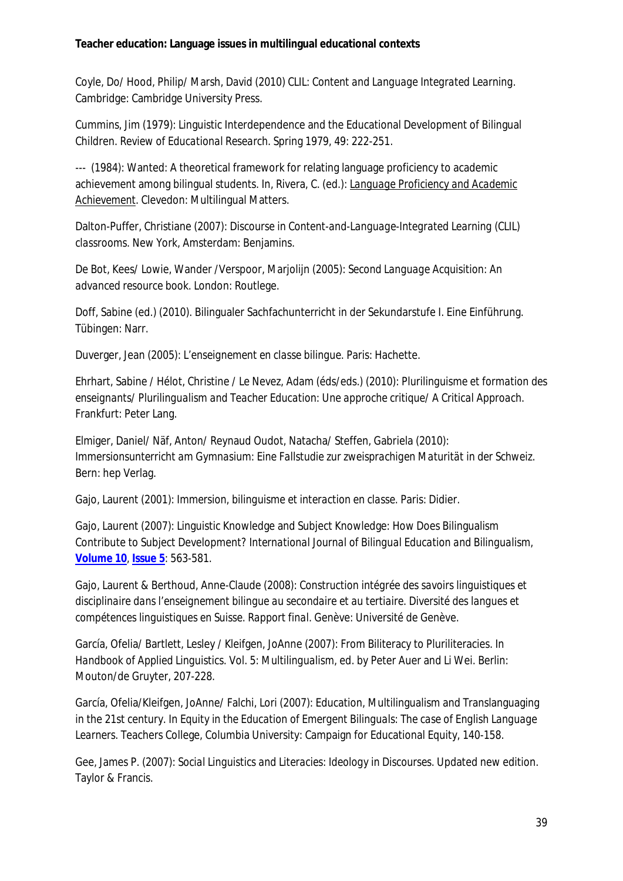Coyle, Do/ Hood, Philip/ Marsh, David (2010) *CLIL: Content and Language Integrated Learning.* Cambridge: Cambridge University Press.

Cummins, Jim (1979): Linguistic Interdependence and the Educational Development of Bilingual Children. *Review of Educational Research*. Spring 1979, 49: 222-251.

--- (1984): Wanted: A theoretical framework for relating language proficiency to academic achievement among bilingual students. In, Rivera, C. (ed.): *Language Proficiency and Academic Achievement*. Clevedon: Multilingual Matters.

Dalton-Puffer, Christiane (2007): *Discourse in Content-and-Language-Integrated Learning (CLIL) classrooms.* New York, Amsterdam: Benjamins.

De Bot, Kees/ Lowie, Wander /Verspoor, Marjolijn (2005): *Second Language Acquisition: An advanced resource book*. London: Routlege.

Doff, Sabine (ed.) (2010). Bilingualer Sachfachunterricht in der Sekundarstufe I. Eine Einführung. Tübingen: Narr.

Duverger, Jean (2005): *L'enseignement en classe bilingue*. Paris: Hachette.

Ehrhart, Sabine / Hélot, Christine / Le Nevez, Adam (éds/eds.) (2010): *Plurilinguisme et formation des enseignants/ Plurilingualism and Teacher Education: Une approche critique/ A Critical Approach*. Frankfurt: Peter Lang.

Elmiger, Daniel/ Näf, Anton/ Reynaud Oudot, Natacha/ Steffen, Gabriela (2010): *Immersionsunterricht am Gymnasium: Eine Fallstudie zur zweisprachigen Maturität in der Schweiz*. Bern: hep Verlag.

Gajo, Laurent (2001): *Immersion, bilinguisme et interaction en classe.* Paris: Didier.

Gajo, Laurent (2007): Linguistic Knowledge and Subject Knowledge: How Does Bilingualism Contribute to Subject Development? *International Journal of Bilingual Education and Bilingualism,* **[Volume](http://www.tandfonline.com/loi/rbeb20?open=10#vol_10) 10**, **[Issue](http://www.tandfonline.com/toc/rbeb20/10/5) 5**: 563-581.

Gajo, Laurent & Berthoud, Anne-Claude (2008): *Construction intégrée des savoirs linguistiques et disciplinaire dans l'enseignement bilingue au secondaire et au tertiaire. Diversité des langues et compétences linguistiques en Suisse. Rapport final.* Genève: Université de Genève.

García, Ofelia/ Bartlett, Lesley / Kleifgen, JoAnne (2007): From Biliteracy to Pluriliteracies. In *Handbook of Applied Linguistics*. Vol. 5: *Multilingualism*, ed. by Peter Auer and Li Wei. Berlin: Mouton/de Gruyter, 207-228.

García, Ofelia/Kleifgen, JoAnne/ Falchi, Lori (2007): Education, Multilingualism and Translanguaging in the 21st century. In *Equity in the Education of Emergent Bilinguals: The case of English Language Learners*. Teachers College, Columbia University: Campaign for Educational Equity, 140-158.

Gee, James P. (2007): *Social Linguistics and Literacies: Ideology in Discourses.* Updated new edition. Taylor & Francis.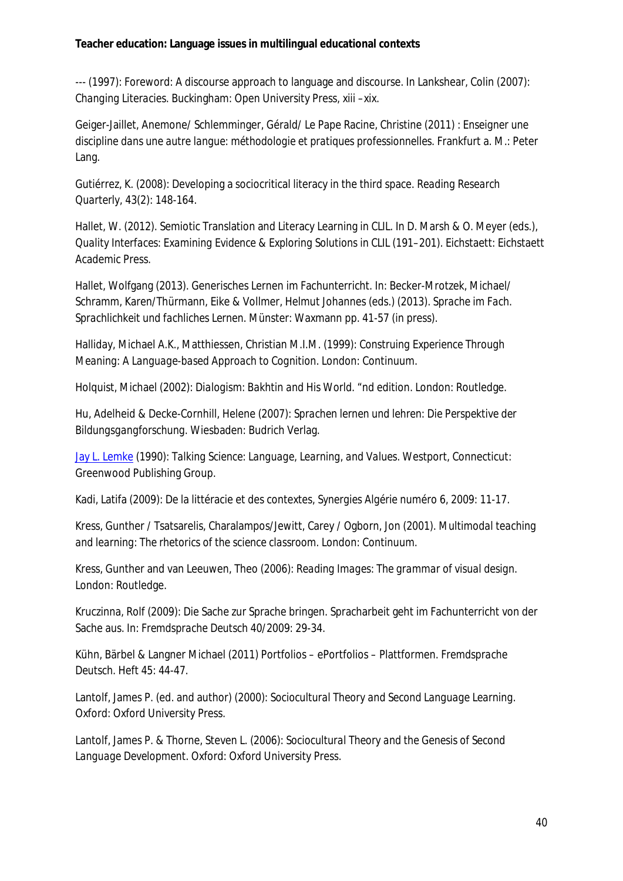--- (1997): Foreword: A discourse approach to language and discourse. In Lankshear, Colin (2007): *Changing Literacies*. Buckingham: Open University Press, xiii –xix.

Geiger-Jaillet, Anemone/ Schlemminger, Gérald/ Le Pape Racine, Christine (2011) : *Enseigner une discipline dans une autre langue: méthodologie et pratiques professionnelles*. Frankfurt a. M.: Peter Lang.

Gutiérrez, K. (2008): Developing a sociocritical literacy in the third space. *Reading Research Quarterly,* 43(2): 148-164.

Hallet, W. (2012). Semiotic Translation and Literacy Learning in CLIL. In D. Marsh & O. Meyer (eds.), *Quality Interfaces: Examining Evidence & Exploring Solutions in CLIL* (191–201). Eichstaett: Eichstaett Academic Press.

Hallet, Wolfgang (2013). Generisches Lernen im Fachunterricht. In: Becker-Mrotzek, Michael/ Schramm, Karen/Thürmann, Eike & Vollmer, Helmut Johannes (eds.) (2013). *Sprache im Fach. Sprachlichkeit und fachliches Lernen*. Münster: Waxmann pp. 41-57 (in press).

Halliday, Michael A.K., Matthiessen, Christian M.I.M. (1999): *Construing Experience Through Meaning: A Language-based Approach to Cognition*. London: Continuum.

Holquist, Michael (2002): *Dialogism: Bakhtin and His World*. "nd edition. London: Routledge.

Hu, Adelheid & Decke-Cornhill, Helene (2007): *Sprachen lernen und lehren: Die Perspektive der Bildungsgangforschung*. Wiesbaden: Budrich Verlag.

Jay L. [Lemke](http://www.google.lu/search?hl=de&tbo=p&tbm=bks&q=inauthor:%22Jay+L.+Lemke%22) (1990): *Talking Science: Language, Learning, and Values*. Westport, Connecticut: Greenwood Publishing Group.

Kadi, Latifa (2009): De la littéracie et des contextes, *Synergies Algérie* numéro 6, 2009: 11-17.

Kress, Gunther / Tsatsarelis, Charalampos/Jewitt, Carey / Ogborn, Jon (2001). *Multimodal teaching and learning: The rhetorics of the science classroom*. London: Continuum.

Kress, Gunther and van Leeuwen, Theo (2006): *Reading Images: The grammar of visual design*. London: Routledge.

Kruczinna, Rolf (2009): Die Sache zur Sprache bringen. Spracharbeit geht im Fachunterricht von der Sache aus. In: *Fremdsprache Deutsch* 40/2009: 29-34.

Kühn, Bärbel & Langner Michael (2011) Portfolios – ePortfolios – Plattformen. *Fremdsprache Deutsch*. Heft 45: 44-47.

Lantolf, James P. (ed. and author) (2000): *Sociocultural Theory and Second Language Learning*. Oxford: Oxford University Press.

Lantolf, James P. & Thorne, Steven L. (2006): *Sociocultural Theory and the Genesis of Second Language Development*. Oxford: Oxford University Press.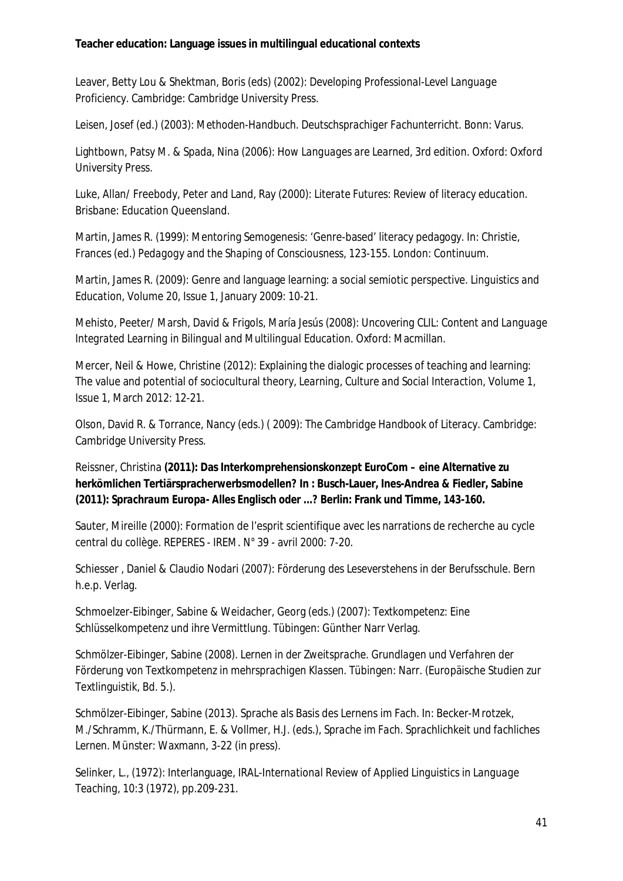Leaver, Betty Lou & Shektman, Boris (eds) (2002): *Developing Professional-Level Language Proficiency*. Cambridge: Cambridge University Press.

Leisen, Josef (ed.) (2003): *Methoden-Handbuch*. *Deutschsprachiger Fachunterricht*. Bonn: Varus.

Lightbown, Patsy M. & Spada, Nina (2006): *How Languages are Learned*, 3rd edition. Oxford: Oxford University Press.

Luke, Allan/ Freebody, Peter and Land, Ray (2000): *Literate Futures: Review of literacy education*. Brisbane: Education Queensland.

Martin, James R. (1999): Mentoring Semogenesis: 'Genre-based' literacy pedagogy. In: Christie, Frances (ed.) *Pedagogy and the Shaping of Consciousness,* 123-155. London: Continuum.

Martin, James R. (2009): Genre and language learning: a social semiotic perspective. *Linguistics and Education*, Volume 20, Issue 1, January 2009: 10-21.

Mehisto, Peeter/ Marsh, David & Frigols, María Jesús (2008): *Uncovering CLIL: Content and Language Integrated Learning in Bilingual and Multilingual Education*. Oxford: Macmillan.

Mercer, Neil & Howe, Christine (2012): Explaining the dialogic processes of teaching and learning: The value and potential of sociocultural theory, *Learning, Culture and Social Interaction*, Volume 1, Issue 1, March 2012: 12-21.

Olson, David R. & Torrance, Nancy (eds.) ( 2009): *The Cambridge Handbook of Literacy*. Cambridge: Cambridge University Press.

Reissner, Christina **(2011): Das Interkomprehensionskonzept EuroCom – eine Alternative zu herkömlichen Tertiärspracherwerbsmodellen? In : Busch-Lauer, Ines-Andrea & Fiedler, Sabine (2011):** *Sprachraum Europa- Alles Englisch oder ...?* **Berlin: Frank und Timme, 143-160.**

Sauter, Mireille (2000): Formation de l'esprit scientifique avec les narrations de recherche au cycle central du collège. REPERES - IREM. N° 39 - avril 2000: 7-20.

Schiesser , Daniel & Claudio Nodari (2007): *Förderung des Leseverstehens in der Berufsschule*. Bern h.e.p. Verlag.

Schmoelzer-Eibinger, Sabine & Weidacher, Georg (eds.) (2007): *[Textkompetenz:](http://www.amazon.de/Textkompetenz-Eine-Schl%C3%BCsselkompetenz-ihre-Vermittlung/dp/3823363603/ref=sr_1_1?s=books&ie=UTF8&qid=1352668508&sr=1-1) Eine [Schlüsselkompetenz](http://www.amazon.de/Textkompetenz-Eine-Schl%C3%BCsselkompetenz-ihre-Vermittlung/dp/3823363603/ref=sr_1_1?s=books&ie=UTF8&qid=1352668508&sr=1-1) und ihre Vermittlung.* Tübingen: Günther Narr Verlag.

Schmölzer-Eibinger, Sabine (2008). *Lernen in der Zweitsprache. Grundlagen und Verfahren der Förderung von Textkompetenz in mehrsprachigen Klassen.* Tübingen: Narr. (Europäische Studien zur Textlinguistik, Bd. 5.).

Schmölzer-Eibinger, Sabine (2013). Sprache als Basis des Lernens im Fach. In: Becker-Mrotzek, M./Schramm, K./Thürmann, E. & Vollmer, H.J. (eds.), *Sprache im Fach. Sprachlichkeit und fachliches Lernen*. Münster: Waxmann, 3-22 (in press).

Selinker, L., (1972): Interlanguage, *IRAL-International Review of Applied Linguistics in Language Teaching,* 10:3 (1972), pp.209-231.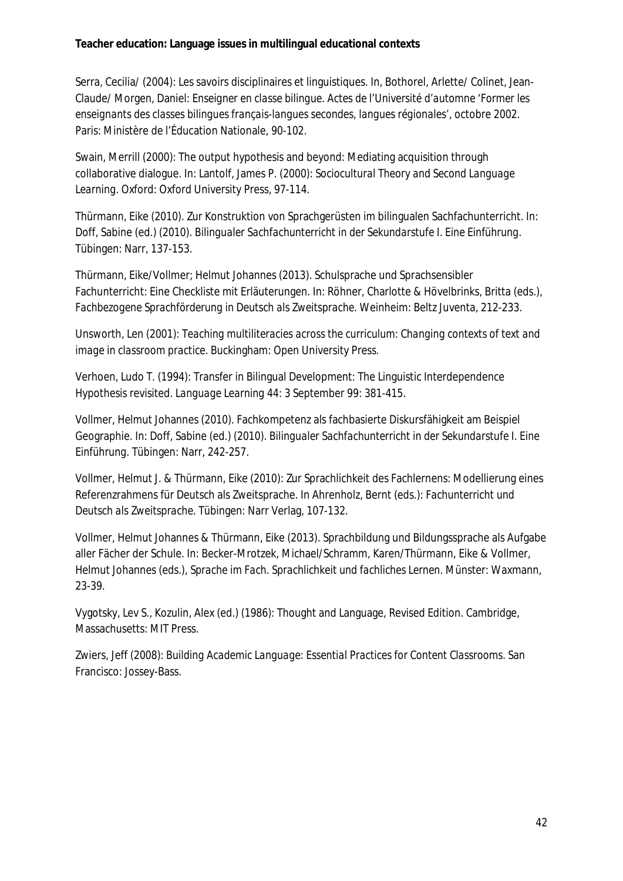Serra, Cecilia/ (2004): Les savoirs disciplinaires et linguistiques. In, Bothorel, Arlette/ Colinet, Jean-Claude/ Morgen, Daniel: *Enseigner en classe bilingue. Actes de l'Université d'automne 'Former les enseignants des classes bilingues français-langues secondes, langues régionales'*, octobre 2002. Paris: Ministère de l'Éducation Nationale, 90-102.

Swain, Merrill (2000): The output hypothesis and beyond: Mediating acquisition through collaborative dialogue. In: Lantolf, James P. (2000): *Sociocultural Theory and Second Language Learning*. Oxford: Oxford University Press, 97-114.

Thürmann, Eike (2010). Zur Konstruktion von Sprachgerüsten im bilingualen Sachfachunterricht. In: Doff, Sabine (ed.) (2010). *Bilingualer Sachfachunterricht in der Sekundarstufe I. Eine Einführung*. Tübingen: Narr, 137-153.

Thürmann, Eike/Vollmer; Helmut Johannes (2013). Schulsprache und Sprachsensibler Fachunterricht: Eine Checkliste mit Erläuterungen. In: Röhner, Charlotte & Hövelbrinks, Britta (eds.), *Fachbezogene Sprachförderung in Deutsch als Zweitsprache*. Weinheim: Beltz Juventa, 212-233.

Unsworth, Len (2001): *Teaching multiliteracies across the curriculum: Changing contexts of text and image in classroom practice*. Buckingham: Open University Press.

Verhoen, Ludo T. (1994): Transfer in Bilingual Development: The Linguistic Interdependence Hypothesis revisited. *Language Learning* 44: 3 September 99: 381-415.

Vollmer, Helmut Johannes (2010). Fachkompetenz als fachbasierte Diskursfähigkeit am Beispiel Geographie. In: Doff, Sabine (ed.) (2010). *Bilingualer Sachfachunterricht in der Sekundarstufe I. Eine Einführung*. Tübingen: Narr, 242-257.

Vollmer, Helmut J. & Thürmann, Eike (2010): Zur Sprachlichkeit des Fachlernens: Modellierung eines Referenzrahmens für Deutsch als Zweitsprache. In Ahrenholz, Bernt (eds.): *Fachunterricht und Deutsch als Zweitsprache*. Tübingen: Narr Verlag, 107-132.

Vollmer, Helmut Johannes & Thürmann, Eike (2013). Sprachbildung und Bildungssprache als Aufgabe aller Fächer der Schule. In: Becker-Mrotzek, Michael/Schramm, Karen/Thürmann, Eike & Vollmer, Helmut Johannes (eds.), *Sprache im Fach. Sprachlichkeit und fachliches Lernen*. Münster: Waxmann, 23-39.

Vygotsky, Lev S., Kozulin, Alex (ed.) (1986): Thought and Language, Revised Edition. Cambridge, Massachusetts: MIT Press.

Zwiers, Jeff (2008): *Building Academic Language: Essential Practices for Content Classrooms*. San Francisco: Jossey-Bass.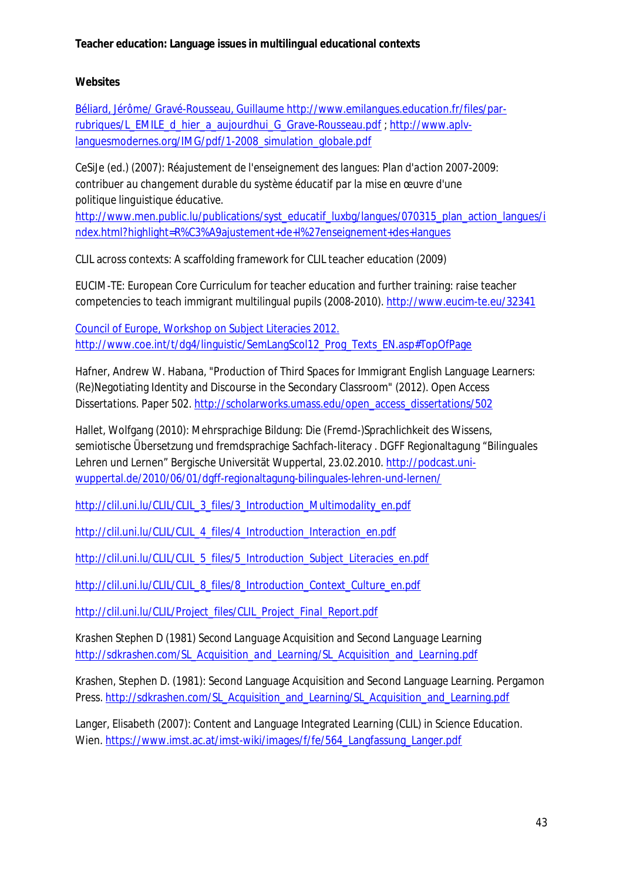**Websites**

Béliard, Jérôme/ Gravé-Rousseau, Guillaume [http://www.emilangues.education.fr/files/par](http://www.emilangues.education.fr/files/par-rubriques/L_EMILE_d_hier_a_aujourdhui_G_Grave-Rousseau.pdf)[rubriques/L\\_EMILE\\_d\\_hier\\_a\\_aujourdhui\\_G\\_Grave-Rousseau.pdf](http://www.emilangues.education.fr/files/par-rubriques/L_EMILE_d_hier_a_aujourdhui_G_Grave-Rousseau.pdf) ; [http://www.aplv](http://www.aplv-languesmodernes.org/IMG/pdf/1-2008_simulation_globale.pdf)[languesmodernes.org/IMG/pdf/1-2008\\_simulation\\_globale.pdf](http://www.aplv-languesmodernes.org/IMG/pdf/1-2008_simulation_globale.pdf)

CeSiJe (ed.) (2007): *Réajustement de l'enseignement des langues: Plan d'action 2007-2009: contribuer au changement durable du système éducatif par la mise en œuvre d'une politique linguistique éducative.*

[http://www.men.public.lu/publications/syst\\_educatif\\_luxbg/langues/070315\\_plan\\_action\\_langues/i](http://www.men.public.lu/publications/syst_educatif_luxbg/langues/070315_plan_action_langues/index.html?highlight=R%C3%A9ajustement+de+l%27enseignement+des+langues) [ndex.html?highlight=R%C3%A9ajustement+de+l%27enseignement+des+langues](http://www.men.public.lu/publications/syst_educatif_luxbg/langues/070315_plan_action_langues/index.html?highlight=R%C3%A9ajustement+de+l%27enseignement+des+langues)

CLIL across contexts: A scaffolding framework for CLIL teacher education (2009)

EUCIM-TE: European Core Curriculum for teacher education and further training: raise teacher competencies to teach immigrant multilingual pupils (2008-2010). <http://www.eucim-te.eu/32341>

Council of Europe, Workshop on Subject Literacies 2012. [http://www.coe.int/t/dg4/linguistic/SemLangScol12\\_Prog\\_Texts\\_EN.asp#TopOfPage](http://www.coe.int/t/dg4/linguistic/SemLangScol12_Prog_Texts_EN.asp#TopOfPage)

Hafner, Andrew W. Habana, "Production of Third Spaces for Immigrant English Language Learners: (Re)Negotiating Identity and Discourse in the Secondary Classroom" (2012). *Open Access Dissertations.* Paper 502. [http://scholarworks.umass.edu/open\\_access\\_dissertations/502](http://scholarworks.umass.edu/open_access_dissertations/502)

Hallet, Wolfgang (2010): Mehrsprachige Bildung: Die (Fremd-)Sprachlichkeit des Wissens, semiotische Übersetzung und fremdsprachige Sachfach-*literacy .* DGFF Regionaltagung "Bilinguales Lehren und Lernen" Bergische Universität Wuppertal, 23.02.2010. [http://podcast.uni](http://podcast.uni-wuppertal.de/2010/06/01/dgff-regionaltagung-bilinguales-lehren-und-lernen/)[wuppertal.de/2010/06/01/dgff-regionaltagung-bilinguales-lehren-und-lernen/](http://podcast.uni-wuppertal.de/2010/06/01/dgff-regionaltagung-bilinguales-lehren-und-lernen/)

*[http://clil.uni.lu/CLIL/CLIL\\_3\\_files/3\\_Introduction\\_Multimodality\\_en.pdf](http://clil.uni.lu/CLIL/CLIL_3_files/3_Introduction_Multimodality_en.pdf)*

*[http://clil.uni.lu/CLIL/CLIL\\_4\\_files/4\\_Introduction\\_Interaction\\_en.pdf](http://clil.uni.lu/CLIL/CLIL_4_files/4_Introduction_Interaction_en.pdf)*

*[http://clil.uni.lu/CLIL/CLIL\\_5\\_files/5\\_Introduction\\_Subject\\_Literacies\\_en.pdf](http://clil.uni.lu/CLIL/CLIL_5_files/5_Introduction_Subject_Literacies_en.pdf)*

*[http://clil.uni.lu/CLIL/CLIL\\_8\\_files/8\\_Introduction\\_Context\\_Culture\\_en.pdf](http://clil.uni.lu/CLIL/CLIL_8_files/8_Introduction_Context_Culture_en.pdf)*

*[http://clil.uni.lu/CLIL/Project\\_files/CLIL\\_Project\\_Final\\_Report.pdf](http://clil.uni.lu/CLIL/Project_files/CLIL_Project_Final_Report.pdf)*

*Krashen Stephen D (1981) Second Language Acquisition and Second Language Learning [http://sdkrashen.com/SL\\_Acquisition\\_and\\_Learning/SL\\_Acquisition\\_and\\_Learning.pdf](http://sdkrashen.com/SL_Acquisition_and_Learning/SL_Acquisition_and_Learning.pdf)*

Krashen, Stephen D. (1981): Second Language Acquisition and Second Language Learning. Pergamon Press. [http://sdkrashen.com/SL\\_Acquisition\\_and\\_Learning/SL\\_Acquisition\\_and\\_Learning.pdf](http://sdkrashen.com/SL_Acquisition_and_Learning/SL_Acquisition_and_Learning.pdf)

Langer, Elisabeth (2007): Content and Language Integrated Learning (CLIL) in Science Education. Wien. [https://www.imst.ac.at/imst-wiki/images/f/fe/564\\_Langfassung\\_Langer.pdf](https://www.imst.ac.at/imst-wiki/images/f/fe/564_Langfassung_Langer.pdf)